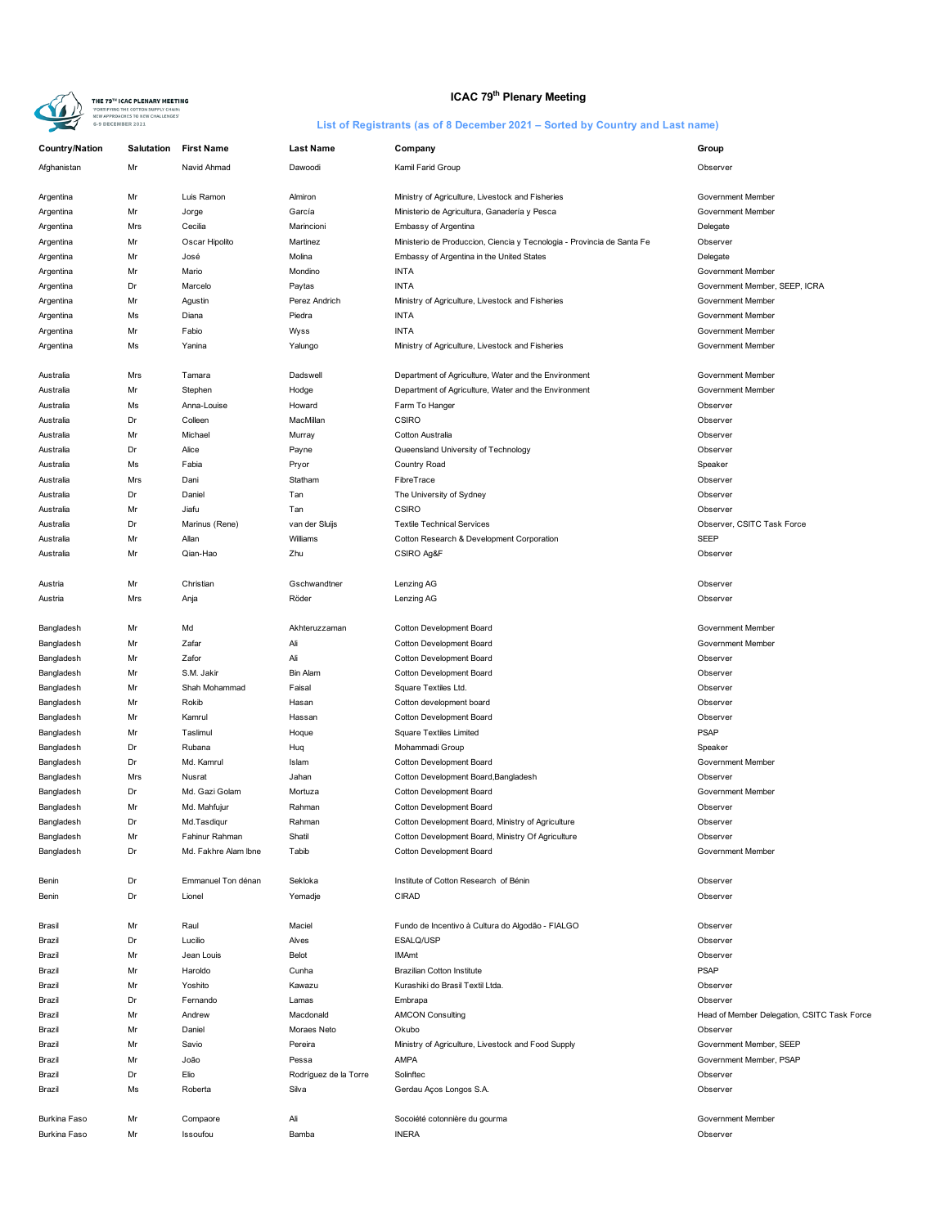

# **ICAC 79<sup>th</sup> Plenary Meeting**

| <b>Country/Nation</b> | <b>Salutation</b> | <b>First Name</b>    | <b>Last Name</b>      | Company                                                                | Group                                       |
|-----------------------|-------------------|----------------------|-----------------------|------------------------------------------------------------------------|---------------------------------------------|
| Afghanistan           | Mr                | Navid Ahmad          | Dawoodi               | Kamil Farid Group                                                      | Observer                                    |
|                       |                   |                      |                       |                                                                        |                                             |
| Argentina             | Mr                | Luis Ramon           | Almiron               | Ministry of Agriculture, Livestock and Fisheries                       | Government Member                           |
| Argentina             | Mr                | Jorge                | García                | Ministerio de Agricultura, Ganadería y Pesca                           | Government Member                           |
| Argentina             | Mrs               | Cecilia              | Marincioni            | Embassy of Argentina                                                   | Delegate                                    |
| Argentina             | Mr                | Oscar Hipolito       | Martinez              | Ministerio de Produccion, Ciencia y Tecnologia - Provincia de Santa Fe | Observer                                    |
| Argentina             | Mr                | José                 | Molina                | Embassy of Argentina in the United States                              | Delegate                                    |
| Argentina             | Mr                | Mario                | Mondino               | <b>INTA</b>                                                            | Government Member                           |
| Argentina             | Dr                | Marcelo              | Paytas                | <b>INTA</b>                                                            | Government Member, SEEP, ICRA               |
| Argentina             | Mr                | Agustin              | Perez Andrich         | Ministry of Agriculture, Livestock and Fisheries                       | <b>Government Member</b>                    |
| Argentina             | Ms                | Diana                | Piedra                | <b>INTA</b>                                                            | Government Member                           |
| Argentina             | Mr                | Fabio                | Wyss                  | <b>INTA</b>                                                            | Government Member                           |
| Argentina             | Ms                | Yanina               | Yalungo               | Ministry of Agriculture, Livestock and Fisheries                       | Government Member                           |
| Australia             | Mrs               | Tamara               | Dadswell              | Department of Agriculture, Water and the Environment                   | Government Member                           |
| Australia             | Mr                | Stephen              | Hodge                 | Department of Agriculture, Water and the Environment                   | Government Member                           |
| Australia             | Ms                | Anna-Louise          | Howard                | Farm To Hanger                                                         | Observer                                    |
| Australia             | Dr                | Colleen              | MacMillan             | <b>CSIRO</b>                                                           | Observer                                    |
| Australia             | Mr                | Michael              | Murray                | Cotton Australia                                                       | Observer                                    |
|                       |                   |                      |                       | Queensland University of Technology                                    |                                             |
| Australia             | Dr                | Alice                | Payne                 |                                                                        | Observer                                    |
| Australia             | Ms                | Fabia                | Pryor                 | Country Road                                                           | Speaker                                     |
| Australia             | Mrs               | Dani                 | Statham               | FibreTrace                                                             | Observer                                    |
| Australia             | Dr                | Daniel               | Tan                   | The University of Sydney                                               | Observer                                    |
| Australia             | Mr                | Jiafu                | Tan                   | CSIRO                                                                  | Observer                                    |
| Australia             | Dr                | Marinus (Rene)       | van der Sluijs        | <b>Textile Technical Services</b>                                      | Observer, CSITC Task Force                  |
| Australia             | Mr                | Allan                | Williams              | Cotton Research & Development Corporation                              | <b>SEEP</b>                                 |
| Australia             | Mr                | Qian-Hao             | Zhu                   | CSIRO Ag&F                                                             | Observer                                    |
|                       |                   |                      |                       |                                                                        |                                             |
| Austria               | Mr                | Christian            | Gschwandtner          | Lenzing AG                                                             | Observer                                    |
| Austria               | Mrs               | Anja                 | Röder                 | Lenzing AG                                                             | Observer                                    |
| Bangladesh            | Mr                | Md                   | Akhteruzzaman         | Cotton Development Board                                               | Government Member                           |
|                       | Mr                | Zafar                | Ali                   | Cotton Development Board                                               | Government Member                           |
| Bangladesh            |                   |                      |                       |                                                                        |                                             |
| Bangladesh            | Mr                | Zafor                | Ali                   | Cotton Development Board                                               | Observer                                    |
| Bangladesh            | Mr                | S.M. Jakir           | <b>Bin Alam</b>       | Cotton Development Board                                               | Observer                                    |
| Bangladesh            | Mr                | Shah Mohammad        | Faisal                | Square Textiles Ltd.                                                   | Observer                                    |
| Bangladesh            | Mr                | Rokib                | Hasan                 | Cotton development board                                               | Observer                                    |
| Bangladesh            | Mr                | Kamrul               | Hassan                | Cotton Development Board                                               | Observer                                    |
| Bangladesh            | Mr                | Taslimul             | Hoque                 | <b>Square Textiles Limited</b>                                         | <b>PSAP</b>                                 |
| Bangladesh            | Dr                | Rubana               | Huq                   | Mohammadi Group                                                        | Speaker                                     |
| Bangladesh            | Dr                | Md. Kamrul           | Islam                 | Cotton Development Board                                               | Government Member                           |
| Bangladesh            | Mrs               | Nusrat               | Jahan                 | Cotton Development Board, Bangladesh                                   | Observer                                    |
| Bangladesh            | Dr                | Md. Gazi Golam       | Mortuza               | Cotton Development Board                                               | Government Member                           |
| Bangladesh            | Mr                | Md. Mahfujur         | Rahman                | Cotton Development Board                                               | Observer                                    |
| Bangladesh            | Dr                | Md.Tasdigur          | Rahman                | Cotton Development Board, Ministry of Agriculture                      | Observer                                    |
| Bangladesh            | Mr                | Fahinur Rahman       | Shatil                | Cotton Development Board, Ministry Of Agriculture                      | Observer                                    |
| Bangladesh            | Dr                | Md. Fakhre Alam Ibne | Tabib                 | Cotton Development Board                                               | Government Member                           |
|                       |                   |                      |                       |                                                                        |                                             |
| Benin                 | Dr                | Emmanuel Ton dénan   | Sekloka               | Institute of Cotton Research of Bénin                                  | Observer                                    |
| Benin                 | Dr                | Lionel               | Yemadie               | <b>CIRAD</b>                                                           | Observer                                    |
|                       |                   |                      |                       |                                                                        |                                             |
| Brasil                | Mr                | Raul                 | Maciel                | Fundo de Incentivo à Cultura do Algodão - FIALGO                       | Observer                                    |
| Brazil                | Dr                | Lucilio              | Alves                 | ESALQ/USP                                                              | Observer                                    |
| Brazil                | Mr                | Jean Louis           | Belot                 | <b>IMAmt</b>                                                           | Observer                                    |
| Brazil                | Mr                | Haroldo              | Cunha                 | <b>Brazilian Cotton Institute</b>                                      | <b>PSAP</b>                                 |
| Brazil                | Mr                | Yoshito              | Kawazu                | Kurashiki do Brasil Textil Ltda.                                       | Observer                                    |
| Brazil                | Dr                | Fernando             | Lamas                 | Embrapa                                                                | Observer                                    |
| Brazil                | Mr                | Andrew               | Macdonald             | <b>AMCON Consulting</b>                                                | Head of Member Delegation, CSITC Task Force |
| Brazil                | Mr                | Daniel               | Moraes Neto           | Okubo                                                                  | Observer                                    |
| Brazil                | Mr                | Savio                | Pereira               | Ministry of Agriculture, Livestock and Food Supply                     | Government Member, SEEP                     |
| Brazil                | Mr                | João                 | Pessa                 | <b>AMPA</b>                                                            | Government Member, PSAP                     |
| Brazil                | Dr                | Elio                 | Rodríguez de la Torre | Solinftec                                                              | Observer                                    |
| Brazil                | Ms                | Roberta              | Silva                 | Gerdau Aços Longos S.A.                                                | Observer                                    |
|                       |                   |                      |                       |                                                                        |                                             |
| Burkina Faso          | Mr                | Compaore             | Ali                   | Socoiété cotonnière du gourma                                          | Government Member                           |
| Burkina Faso          | Mr                | Issoufou             | Bamba                 | <b>INERA</b>                                                           | Observer                                    |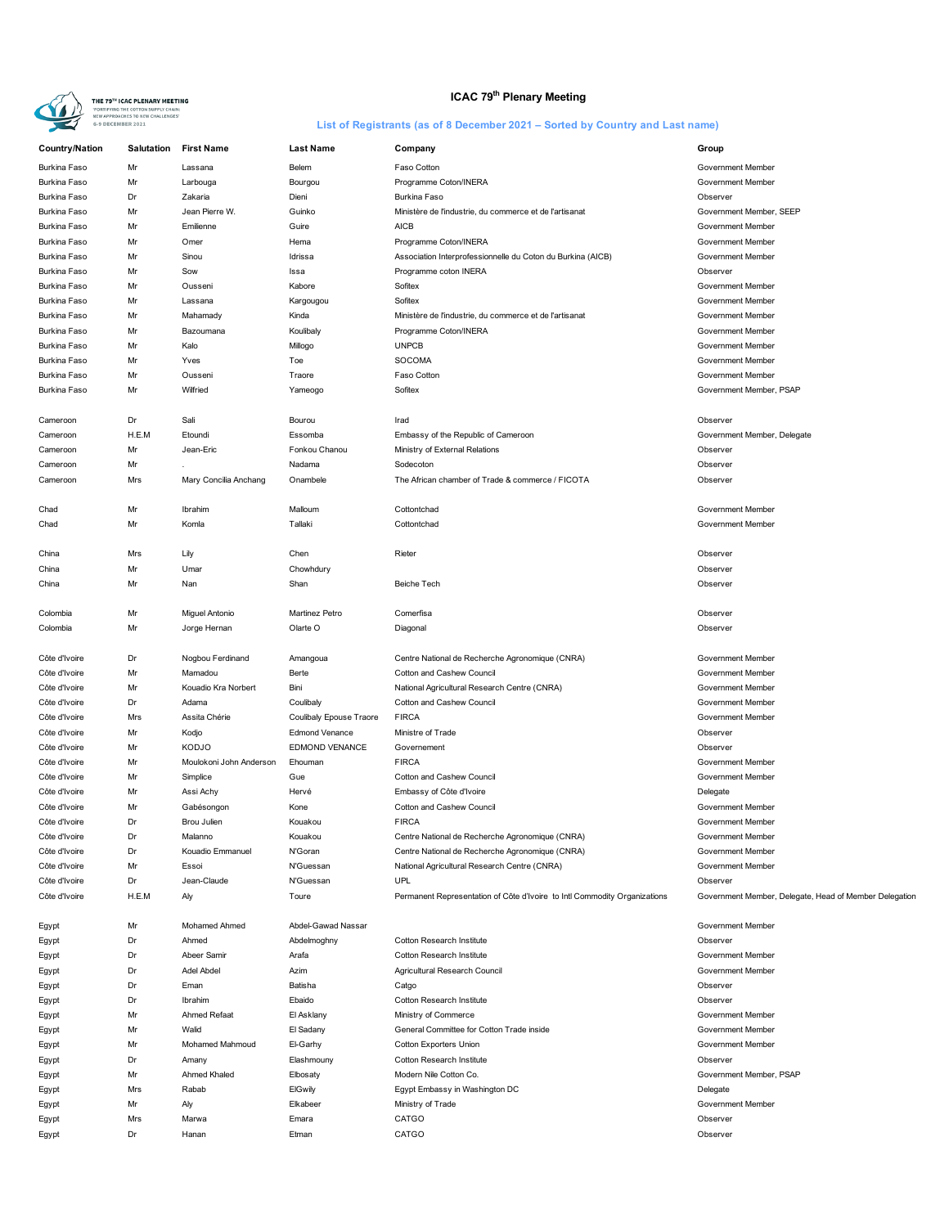

# **ICAC 79<sup>th</sup> Plenary Meeting**

| <b>Country/Nation</b> | <b>Salutation</b> | <b>First Name</b>       | <b>Last Name</b>        | Company                                                                   | Group                                                  |
|-----------------------|-------------------|-------------------------|-------------------------|---------------------------------------------------------------------------|--------------------------------------------------------|
| <b>Burkina Faso</b>   | Mr                | Lassana                 | Belem                   | Faso Cotton                                                               | Government Member                                      |
| <b>Burkina Faso</b>   | Mr                | Larbouga                | Bourgou                 | Programme Coton/INERA                                                     | Government Member                                      |
| Burkina Faso          | Dr                | Zakaria                 | Dieni                   | Burkina Faso                                                              | Observer                                               |
| <b>Burkina Faso</b>   | Mr                | Jean Pierre W.          | Guinko                  | Ministère de l'industrie, du commerce et de l'artisanat                   | Government Member, SEEP                                |
| <b>Burkina Faso</b>   | Mr                | Emilienne               | Guire                   | <b>AICB</b>                                                               | Government Member                                      |
| <b>Burkina Faso</b>   | Mr                | Omer                    | Hema                    | Programme Coton/INERA                                                     | Government Member                                      |
| <b>Burkina Faso</b>   | Mr                | Sinou                   | Idrissa                 | Association Interprofessionnelle du Coton du Burkina (AICB)               | Government Member                                      |
| Burkina Faso          | Mr                | Sow                     | Issa                    | Programme coton INERA                                                     | Observer                                               |
| Burkina Faso          | Mr                | Ousseni                 | Kabore                  | Sofitex                                                                   | Government Member                                      |
| <b>Burkina Faso</b>   |                   | Lassana                 |                         | Sofitex                                                                   | Government Member                                      |
|                       | Mr                |                         | Kargougou               |                                                                           |                                                        |
| <b>Burkina Faso</b>   | Mr                | Mahamady                | Kinda                   | Ministère de l'industrie, du commerce et de l'artisanat                   | Government Member                                      |
| <b>Burkina Faso</b>   | Mr                | Bazoumana               | Koulibaly               | Programme Coton/INERA                                                     | Government Member                                      |
| Burkina Faso          | Mr                | Kalo                    | Millogo                 | <b>UNPCB</b>                                                              | Government Member                                      |
| Burkina Faso          | Mr                | Yves                    | Toe                     | SOCOMA                                                                    | Government Member                                      |
| <b>Burkina Faso</b>   | Mr                | Ousseni                 | Traore                  | Faso Cotton                                                               | Government Member                                      |
| <b>Burkina Faso</b>   | Mr                | Wilfried                | Yameogo                 | Sofitex                                                                   | Government Member, PSAP                                |
|                       |                   |                         |                         |                                                                           |                                                        |
| Cameroon              | Dr                | Sali                    | Bourou                  | Irad                                                                      | Observer                                               |
| Cameroon              | H.E.M             | Etoundi                 | Essomba                 | Embassy of the Republic of Cameroon                                       | Government Member, Delegate                            |
| Cameroon              | Mr                | Jean-Eric               | Fonkou Chanou           | Ministry of External Relations                                            | Observer                                               |
| Cameroon              | Mr                |                         | Nadama                  | Sodecoton                                                                 | Observer                                               |
| Cameroon              | Mrs               | Mary Concilia Anchang   | Onambele                | The African chamber of Trade & commerce / FICOTA                          | Observer                                               |
|                       |                   |                         |                         |                                                                           |                                                        |
| Chad                  | Mr                | Ibrahim                 | Malloum                 | Cottontchad                                                               | Government Member                                      |
| Chad                  | Mr                | Komla                   | Tallaki                 | Cottontchad                                                               | Government Member                                      |
|                       |                   |                         |                         |                                                                           |                                                        |
| China                 | Mrs               | Lily                    | Chen                    | Rieter                                                                    | Observer                                               |
| China                 | Mr                | Umar                    | Chowhdury               |                                                                           | Observer                                               |
| China                 | Mr                | Nan                     | Shan                    | Beiche Tech                                                               | Observer                                               |
|                       |                   |                         |                         |                                                                           |                                                        |
| Colombia              | Mr                | Miguel Antonio          | Martinez Petro          | Comerfisa                                                                 | Observer                                               |
| Colombia              | Mr                | Jorge Hernan            | Olarte O                | Diagonal                                                                  | Observer                                               |
|                       |                   |                         |                         |                                                                           |                                                        |
| Côte d'Ivoire         | Dr                | Nogbou Ferdinand        |                         | Centre National de Recherche Agronomique (CNRA)                           | Government Member                                      |
|                       |                   |                         | Amangoua                |                                                                           |                                                        |
| Côte d'Ivoire         | Mr                | Mamadou                 | Berte                   | Cotton and Cashew Council                                                 | Government Member                                      |
| Côte d'Ivoire         | Mr                | Kouadio Kra Norbert     | Bini                    | National Agricultural Research Centre (CNRA)                              | Government Member                                      |
| Côte d'Ivoire         | Dr                | Adama                   | Coulibaly               | Cotton and Cashew Council                                                 | Government Member                                      |
| Côte d'Ivoire         | Mrs               | Assita Chérie           | Coulibaly Epouse Traore | <b>FIRCA</b>                                                              | Government Member                                      |
| Côte d'Ivoire         | Mr                | Kodjo                   | <b>Edmond Venance</b>   | Ministre of Trade                                                         | Observer                                               |
| Côte d'Ivoire         | Mr                | <b>KODJO</b>            | <b>EDMOND VENANCE</b>   | Governement                                                               | Observer                                               |
| Côte d'Ivoire         | Mr                | Moulokoni John Anderson | Ehouman                 | <b>FIRCA</b>                                                              | Government Member                                      |
| Côte d'Ivoire         | Mr                | Simplice                | Gue                     | Cotton and Cashew Council                                                 | Government Member                                      |
| Côte d'Ivoire         | Mr                | Assi Achy               | Hervé                   | Embassy of Côte d'Ivoire                                                  | Delegate                                               |
| Côte d'Ivoire         | Mr                | Gabésongon              | Kone                    | Cotton and Cashew Council                                                 | Government Member                                      |
| Côte d'Ivoire         | Dr                | Brou Julien             | Kouakou                 | <b>FIRCA</b>                                                              | Government Member                                      |
| Côte d'Ivoire         | Dr                | Malanno                 | Kouakou                 | Centre National de Recherche Agronomique (CNRA)                           | Government Member                                      |
| Côte d'Ivoire         | Dr                | Kouadio Emmanuel        | N'Goran                 | Centre National de Recherche Agronomique (CNRA)                           | Government Member                                      |
| Côte d'Ivoire         | Mr                | Essoi                   | N'Guessan               | National Agricultural Research Centre (CNRA)                              | Government Member                                      |
| Côte d'Ivoire         | Dr                | Jean-Claude             | N'Guessan               | <b>UPL</b>                                                                | Observer                                               |
| Côte d'Ivoire         | H.E.M             | Aly                     | Toure                   | Permanent Representation of Côte d'Ivoire to Intl Commodity Organizations | Government Member, Delegate, Head of Member Delegation |
|                       |                   |                         |                         |                                                                           |                                                        |
| Egypt                 | Mr                | <b>Mohamed Ahmed</b>    | Abdel-Gawad Nassar      |                                                                           | Government Member                                      |
| Egypt                 | Dr                | Ahmed                   | Abdelmoghny             | <b>Cotton Research Institute</b>                                          | Observer                                               |
| Egypt                 | Dr                | Abeer Samir             | Arafa                   | Cotton Research Institute                                                 | Government Member                                      |
| Egypt                 | Dr                | Adel Abdel              | Azim                    | Agricultural Research Council                                             | Government Member                                      |
|                       | Dr                | Eman                    | Batisha                 | Catgo                                                                     | Observer                                               |
| Egypt                 | Dr                | Ibrahim                 | Ebaido                  | Cotton Research Institute                                                 |                                                        |
| Egypt                 |                   |                         |                         |                                                                           | Observer                                               |
| Egypt                 | Mr                | Ahmed Refaat            | El Asklany              | Ministry of Commerce                                                      | Government Member                                      |
| Egypt                 | Mr                | Walid                   | El Sadany               | General Committee for Cotton Trade inside                                 | Government Member                                      |
| Egypt                 | Mr                | Mohamed Mahmoud         | El-Garhy                | Cotton Exporters Union                                                    | Government Member                                      |
| Egypt                 | Dr                | Amany                   | Elashmouny              | Cotton Research Institute                                                 | Observer                                               |
| Egypt                 | Mr                | Ahmed Khaled            | Elbosaty                | Modern Nile Cotton Co.                                                    | Government Member, PSAP                                |
| Egypt                 | Mrs               | Rabab                   | <b>ElGwily</b>          | Egypt Embassy in Washington DC                                            | Delegate                                               |
| Egypt                 | Mr                | Aly                     | Elkabeer                | Ministry of Trade                                                         | Government Member                                      |
| Egypt                 | Mrs               | Marwa                   | Emara                   | <b>CATGO</b>                                                              | Observer                                               |
| Egypt                 | Dr                | Hanan                   | Etman                   | CATGO                                                                     | Observer                                               |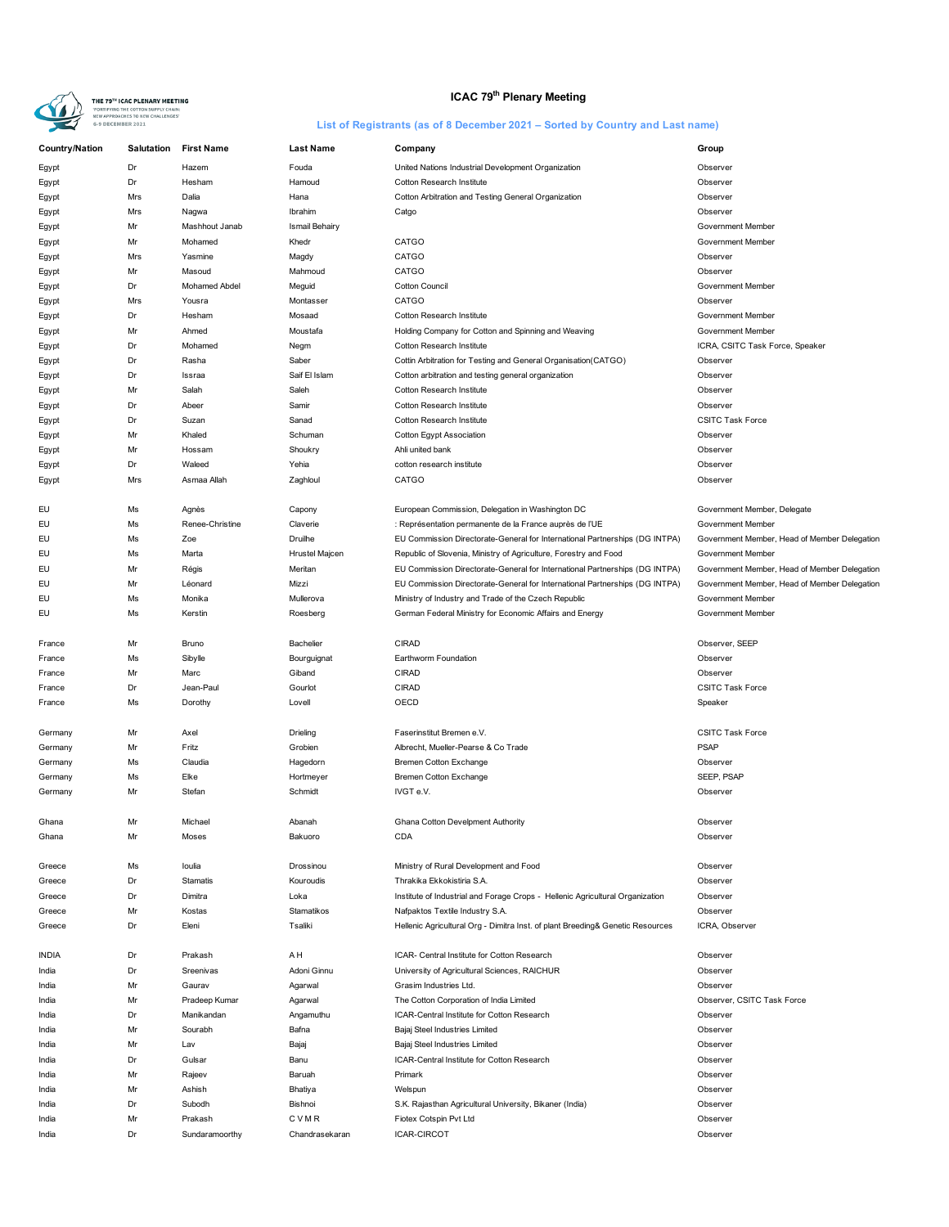

# **ICAC 79<sup>th</sup> Plenary Meeting**

| <b>Country/Nation</b> | <b>Salutation</b> | <b>First Name</b> | <b>Last Name</b>      | Company                                                                        | Group                                        |
|-----------------------|-------------------|-------------------|-----------------------|--------------------------------------------------------------------------------|----------------------------------------------|
| Egypt                 | Dr                | Hazem             | Fouda                 | United Nations Industrial Development Organization                             | Observer                                     |
| Egypt                 | Dr                | Hesham            | Hamoud                | Cotton Research Institute                                                      | Observer                                     |
| Egypt                 | Mrs               | Dalia             | Hana                  | Cotton Arbitration and Testing General Organization                            | Observer                                     |
| Egypt                 | Mrs               | Nagwa             | Ibrahim               | Catgo                                                                          | Observer                                     |
| Egypt                 | Mr                | Mashhout Janab    | <b>Ismail Behairy</b> |                                                                                | Government Member                            |
| Egypt                 | Mr                | Mohamed           | Khedr                 | CATGO                                                                          | Government Member                            |
|                       | Mrs               | Yasmine           | Magdy                 | CATGO                                                                          | Observer                                     |
| Egypt                 | Mr                | Masoud            | Mahmoud               | CATGO                                                                          | Observer                                     |
| Egypt                 | Dr                |                   |                       | Cotton Council                                                                 |                                              |
| Egypt                 |                   | Mohamed Abdel     | Meguid                |                                                                                | Government Member                            |
| Egypt                 | Mrs               | Yousra            | Montasser             | CATGO                                                                          | Observer                                     |
| Egypt                 | Dr                | Hesham            | Mosaad                | <b>Cotton Research Institute</b>                                               | Government Member                            |
| Egypt                 | Mr                | Ahmed             | Moustafa              | Holding Company for Cotton and Spinning and Weaving                            | Government Member                            |
| Egypt                 | Dr                | Mohamed           | Negm                  | <b>Cotton Research Institute</b>                                               | ICRA, CSITC Task Force, Speaker              |
| Egypt                 | Dr                | Rasha             | Saber                 | Cottin Arbitration for Testing and General Organisation(CATGO)                 | Observer                                     |
| Egypt                 | Dr                | Issraa            | Saif El Islam         | Cotton arbitration and testing general organization                            | Observer                                     |
| Egypt                 | Mr                | Salah             | Saleh                 | Cotton Research Institute                                                      | Observer                                     |
| Egypt                 | Dr                | Abeer             | Samir                 | Cotton Research Institute                                                      | Observer                                     |
| Egypt                 | Dr                | Suzan             | Sanad                 | Cotton Research Institute                                                      | <b>CSITC Task Force</b>                      |
| Egypt                 | Mr                | Khaled            | Schuman               | Cotton Egypt Association                                                       | Observer                                     |
| Egypt                 | Mr                | Hossam            | Shoukry               | Ahli united bank                                                               | Observer                                     |
| Egypt                 | Dr                | Waleed            | Yehia                 | cotton research institute                                                      | Observer                                     |
| Egypt                 | Mrs               | Asmaa Allah       | Zaghloul              | CATGO                                                                          | Observer                                     |
|                       |                   |                   |                       |                                                                                |                                              |
| EU                    | Ms                | Agnès             | Capony                | European Commission, Delegation in Washington DC                               | Government Member, Delegate                  |
| EU                    | Ms                | Renee-Christine   | Claverie              | : Représentation permanente de la France auprès de l'UE                        | Government Member                            |
| EU                    | Ms                | Zoe               | Druilhe               | EU Commission Directorate-General for International Partnerships (DG INTPA)    | Government Member, Head of Member Delegation |
| EU                    | Ms                | Marta             | Hrustel Majcen        | Republic of Slovenia, Ministry of Agriculture, Forestry and Food               | Government Member                            |
| EU                    | Mr                | Régis             | Meritan               | EU Commission Directorate-General for International Partnerships (DG INTPA)    | Government Member, Head of Member Delegation |
| EU                    | Mr                | Léonard           | Mizzi                 | EU Commission Directorate-General for International Partnerships (DG INTPA)    | Government Member, Head of Member Delegation |
| EU                    | Ms                | Monika            | Mullerova             | Ministry of Industry and Trade of the Czech Republic                           | Government Member                            |
| EU                    | Ms                | Kerstin           | Roesberg              | German Federal Ministry for Economic Affairs and Energy                        | Government Member                            |
|                       |                   |                   |                       |                                                                                |                                              |
| France                | Mr                | Bruno             | Bachelier             | <b>CIRAD</b>                                                                   | Observer, SEEP                               |
| France                | Ms                | Sibylle           | Bourguignat           | Earthworm Foundation                                                           | Observer                                     |
| France                | Mr                | Marc              | Giband                | <b>CIRAD</b>                                                                   | Observer                                     |
| France                | Dr                | Jean-Paul         | Gourlot               | <b>CIRAD</b>                                                                   | <b>CSITC Task Force</b>                      |
| France                | Ms                | Dorothy           | Lovell                | OECD                                                                           | Speaker                                      |
|                       |                   |                   |                       |                                                                                |                                              |
| Germany               | Mr                | Axel              | Drieling              | Faserinstitut Bremen e.V.                                                      | <b>CSITC Task Force</b>                      |
| Germany               | Mr                | Fritz             | Grobien               | Albrecht, Mueller-Pearse & Co Trade                                            | <b>PSAP</b>                                  |
| Germany               | Ms                | Claudia           | Hagedorn              | Bremen Cotton Exchange                                                         | Observer                                     |
| Germany               | Ms                | Elke              | Hortmeyer             | Bremen Cotton Exchange                                                         | SEEP, PSAP                                   |
| Germany               | Mr                | Stefan            | Schmidt               | IVGT e.V.                                                                      | Observer                                     |
|                       |                   |                   |                       |                                                                                |                                              |
| Ghana                 | Mr                | Michael           | Abanah                | Ghana Cotton Develoment Authority                                              | Observer                                     |
| Ghana                 | Mr                | Moses             | Bakuoro               | CDA                                                                            | Observer                                     |
|                       |                   |                   |                       |                                                                                |                                              |
| Greece                | Ms                | loulia            | Drossinou             | Ministry of Rural Development and Food                                         | Observer                                     |
| Greece                | Dr                | Stamatis          | Kouroudis             | Thrakika Ekkokistiria S.A.                                                     | Observer                                     |
| Greece                | Dr                | Dimitra           | Loka                  | Institute of Industrial and Forage Crops - Hellenic Agricultural Organization  | Observer                                     |
| Greece                | Mr                | Kostas            | Stamatikos            | Nafpaktos Textile Industry S.A.                                                | Observer                                     |
| Greece                | Dr                | Eleni             | Tsaliki               | Hellenic Agricultural Org - Dimitra Inst. of plant Breeding& Genetic Resources | ICRA, Observer                               |
|                       |                   |                   |                       |                                                                                |                                              |
| INDIA                 | Dr                | Prakash           | AΗ                    | ICAR- Central Institute for Cotton Research                                    | Observer                                     |
| India                 | Dr                | Sreenivas         | Adoni Ginnu           | University of Agricultural Sciences, RAICHUR                                   | Observer                                     |
| India                 | Mr                | Gaurav            | Agarwal               | Grasim Industries Ltd.                                                         | Observer                                     |
| India                 | Mr                | Pradeep Kumar     | Agarwal               | The Cotton Corporation of India Limited                                        | Observer, CSITC Task Force                   |
| India                 | Dr                | Manikandan        | Angamuthu             | ICAR-Central Institute for Cotton Research                                     | Observer                                     |
| India                 | Mr                | Sourabh           | Bafna                 | Bajaj Steel Industries Limited                                                 | Observer                                     |
| India                 | Mr                | Lav               | Bajaj                 | Bajaj Steel Industries Limited                                                 | Observer                                     |
| India                 | Dr                | Gulsar            | Banu                  | ICAR-Central Institute for Cotton Research                                     | Observer                                     |
|                       |                   |                   |                       |                                                                                |                                              |
| India                 | Mr                | Rajeev            | Baruah                | Primark                                                                        | Observer                                     |
| India                 | Mr                | Ashish            | Bhatiya               | Welspun                                                                        | Observer                                     |
| India                 | Dr                | Subodh            | Bishnoi               | S.K. Rajasthan Agricultural University, Bikaner (India)                        | Observer                                     |
| India                 | Mr                | Prakash           | CVMR                  | Fiotex Cotspin Pvt Ltd                                                         | Observer                                     |
| India                 | Dr                | Sundaramoorthy    | Chandrasekaran        | <b>ICAR-CIRCOT</b>                                                             | Observer                                     |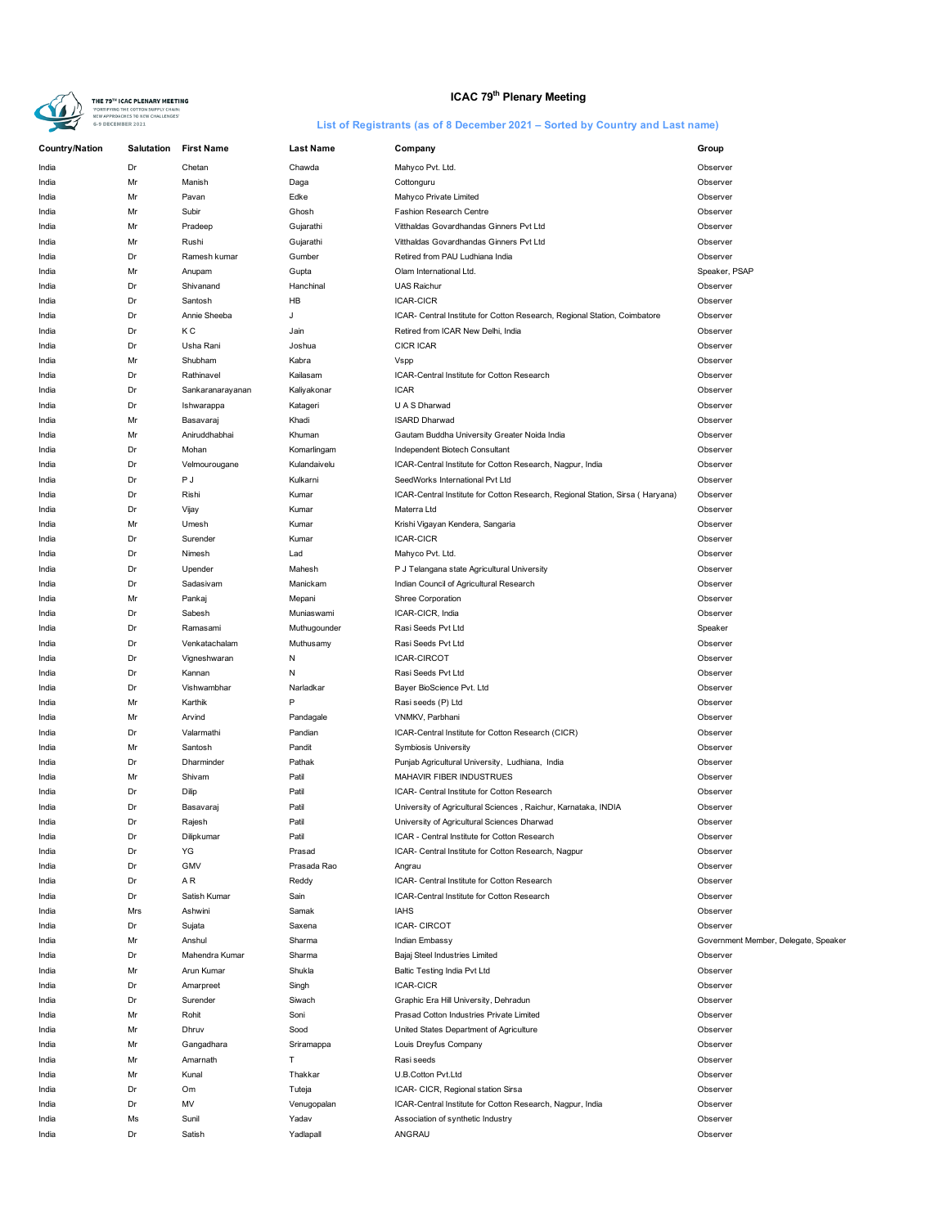

# **ICAC 79<sup>th</sup> Plenary Meeting**

| <b>Country/Nation</b> | Salutation | <b>First Name</b>         | <b>Last Name</b> | Company                                                                        | Group                                |
|-----------------------|------------|---------------------------|------------------|--------------------------------------------------------------------------------|--------------------------------------|
| India                 | Dr         | Chetan                    | Chawda           | Mahyco Pvt. Ltd.                                                               | Observer                             |
| India                 | Mr         | Manish                    | Daga             | Cottonguru                                                                     | Observer                             |
| India                 | Mr         | Pavan                     | Edke             | Mahyco Private Limited                                                         | Observer                             |
| India                 | Mr         | Subir                     | Ghosh            | Fashion Research Centre                                                        | Observer                             |
| India                 | Mr         | Pradeep                   | Gujarathi        | Vitthaldas Govardhandas Ginners Pvt Ltd                                        | Observer                             |
| India                 | Mr         | Rushi                     | Gujarathi        | Vitthaldas Govardhandas Ginners Pvt Ltd                                        | Observer                             |
| India                 | Dr         | Ramesh kumar              | Gumber           | Retired from PAU Ludhiana India                                                | Observer                             |
| India                 | Mr         | Anupam                    | Gupta            | Olam International Ltd.                                                        | Speaker, PSAP                        |
| India                 | Dr         | Shivanand                 | Hanchinal        | <b>UAS Raichur</b>                                                             | Observer                             |
| India                 | Dr         | Santosh                   | HB               | <b>ICAR-CICR</b>                                                               | Observer                             |
| India                 | Dr         | Annie Sheeba              | J                | ICAR- Central Institute for Cotton Research, Regional Station, Coimbatore      | Observer                             |
| India                 | Dr         | КC                        | Jain             | Retired from ICAR New Delhi, India                                             | Observer                             |
| India                 | Dr         | Usha Rani                 | Joshua           | <b>CICR ICAR</b>                                                               | Observer                             |
| India                 | Mr         | Shubham                   | Kabra            | Vspp                                                                           | Observer                             |
| India                 | Dr         | Rathinavel                | Kailasam         | ICAR-Central Institute for Cotton Research                                     | Observer                             |
| India                 | Dr         | Sankaranarayanan          | Kaliyakonar      | <b>ICAR</b>                                                                    | Observer                             |
| India                 | Dr         | Ishwarappa                | Katageri         | U A S Dharwad                                                                  | Observer                             |
| India                 | Mr         | Basavaraj                 | Khadi            | <b>ISARD Dharwad</b>                                                           | Observer                             |
| India                 | Mr         | Aniruddhabhai             | Khuman           | Gautam Buddha University Greater Noida India                                   | Observer                             |
| India                 | Dr         | Mohan                     | Komarlingam      | Independent Biotech Consultant                                                 | Observer                             |
| India                 | Dr         | Velmourougane             | Kulandaivelu     | ICAR-Central Institute for Cotton Research, Nagpur, India                      | Observer                             |
| India                 | Dr         | P J                       | Kulkarni         | SeedWorks International Pvt Ltd                                                | Observer                             |
| India                 | Dr         | Rishi                     | Kumar            | ICAR-Central Institute for Cotton Research, Regional Station, Sirsa ( Haryana) | Observer                             |
| India                 | Dr         | Vijay                     | Kumar            | Materra Ltd                                                                    | Observer                             |
| India                 | Mr         | Umesh                     | Kumar            | Krishi Vigayan Kendera, Sangaria                                               | Observer                             |
| India                 | Dr         | Surender                  | Kumar            | <b>ICAR-CICR</b>                                                               | Observer                             |
| India                 | Dr         | Nimesh                    | Lad              | Mahyco Pvt. Ltd.                                                               | Observer                             |
| India                 | Dr         | Upender                   | Mahesh           | P J Telangana state Agricultural University                                    | Observer                             |
| India                 | Dr         | Sadasivam                 | Manickam         | Indian Council of Agricultural Research                                        | Observer                             |
| India                 | Mr         | Pankaj                    | Mepani           | Shree Corporation                                                              | Observer                             |
| India                 | Dr         | Sabesh                    | Muniaswami       | ICAR-CICR, India                                                               | Observer                             |
| India                 | Dr<br>Dr   | Ramasami<br>Venkatachalam | Muthugounder     | Rasi Seeds Pvt Ltd<br>Rasi Seeds Pvt Ltd                                       | Speaker<br>Observer                  |
| India<br>India        | Dr         | Vigneshwaran              | Muthusamy<br>N   | <b>ICAR-CIRCOT</b>                                                             | Observer                             |
|                       | Dr         | Kannan                    | N                | Rasi Seeds Pvt Ltd                                                             | Observer                             |
| India<br>India        | Dr         | Vishwambhar               | Narladkar        | Bayer BioScience Pvt. Ltd                                                      | Observer                             |
| India                 | Mr         | Karthik                   | P                | Rasi seeds (P) Ltd                                                             | Observer                             |
| India                 | Mr         | Arvind                    | Pandagale        | VNMKV, Parbhani                                                                | Observer                             |
| India                 | Dr         | Valarmathi                | Pandian          | ICAR-Central Institute for Cotton Research (CICR)                              | Observer                             |
| India                 | Mr         | Santosh                   | Pandit           | Symbiosis University                                                           | Observer                             |
| India                 | Dr         | Dharminder                | Pathak           | Punjab Agricultural University, Ludhiana, India                                | Observer                             |
| India                 | Mr         | Shivam                    | Patil            | MAHAVIR FIBER INDUSTRUES                                                       | Observer                             |
| India                 | Dr         | Dilip                     | Patil            | ICAR- Central Institute for Cotton Research                                    | Observer                             |
| India                 | Dr         | Basavaraj                 | Patil            | University of Agricultural Sciences, Raichur, Karnataka, INDIA                 | Observer                             |
| India                 | Dr         | Rajesh                    | Patil            | University of Agricultural Sciences Dharwad                                    | Observer                             |
| India                 | Dr         | Dilipkumar                | Patil            | ICAR - Central Institute for Cotton Research                                   | Observer                             |
| India                 | Dr         | YG                        | Prasad           | ICAR- Central Institute for Cotton Research, Nagpur                            | Observer                             |
| India                 | Dr         | GMV                       | Prasada Rao      | Angrau                                                                         | Observer                             |
| India                 | Dr         | ΑR                        | Reddy            | ICAR- Central Institute for Cotton Research                                    | Observer                             |
| India                 | Dr         | Satish Kumar              | Sain             | ICAR-Central Institute for Cotton Research                                     | Observer                             |
| India                 | Mrs        | Ashwini                   | Samak            | <b>IAHS</b>                                                                    | Observer                             |
| India                 | Dr         | Sujata                    | Saxena           | <b>ICAR- CIRCOT</b>                                                            | Observer                             |
| India                 | Mr         | Anshul                    | Sharma           | Indian Embassy                                                                 | Government Member, Delegate, Speaker |
| India                 | Dr         | Mahendra Kumar            | Sharma           | Bajaj Steel Industries Limited                                                 | Observer                             |
| India                 | Mr         | Arun Kumar                | Shukla           | Baltic Testing India Pvt Ltd                                                   | Observer                             |
| India                 | Dr         | Amarpreet                 | Singh            | ICAR-CICR                                                                      | Observer                             |
| India                 | Dr         | Surender                  | Siwach           | Graphic Era Hill University, Dehradun                                          | Observer                             |
| India                 | Mr         | Rohit                     | Soni             | Prasad Cotton Industries Private Limited                                       | Observer                             |
| India                 | Mr         | Dhruv                     | Sood             | United States Department of Agriculture                                        | Observer                             |
| India                 | Mr         | Gangadhara                | Sriramappa       | Louis Dreyfus Company                                                          | Observer                             |
| India                 | Mr         | Amarnath                  | т                | Rasi seeds                                                                     | Observer                             |
| India                 | Mr         | Kunal                     | Thakkar          | U.B.Cotton Pvt.Ltd                                                             | Observer                             |
| India                 | Dr         | Om                        | Tuteja           | ICAR- CICR, Regional station Sirsa                                             | Observer                             |
| India                 | Dr         | MV                        | Venugopalan      | ICAR-Central Institute for Cotton Research, Nagpur, India                      | Observer                             |
| India                 | Ms         | Sunil                     | Yadav            | Association of synthetic Industry                                              | Observer                             |
| India                 | Dr         | Satish                    | Yadlapall        | ANGRAU                                                                         | Observer                             |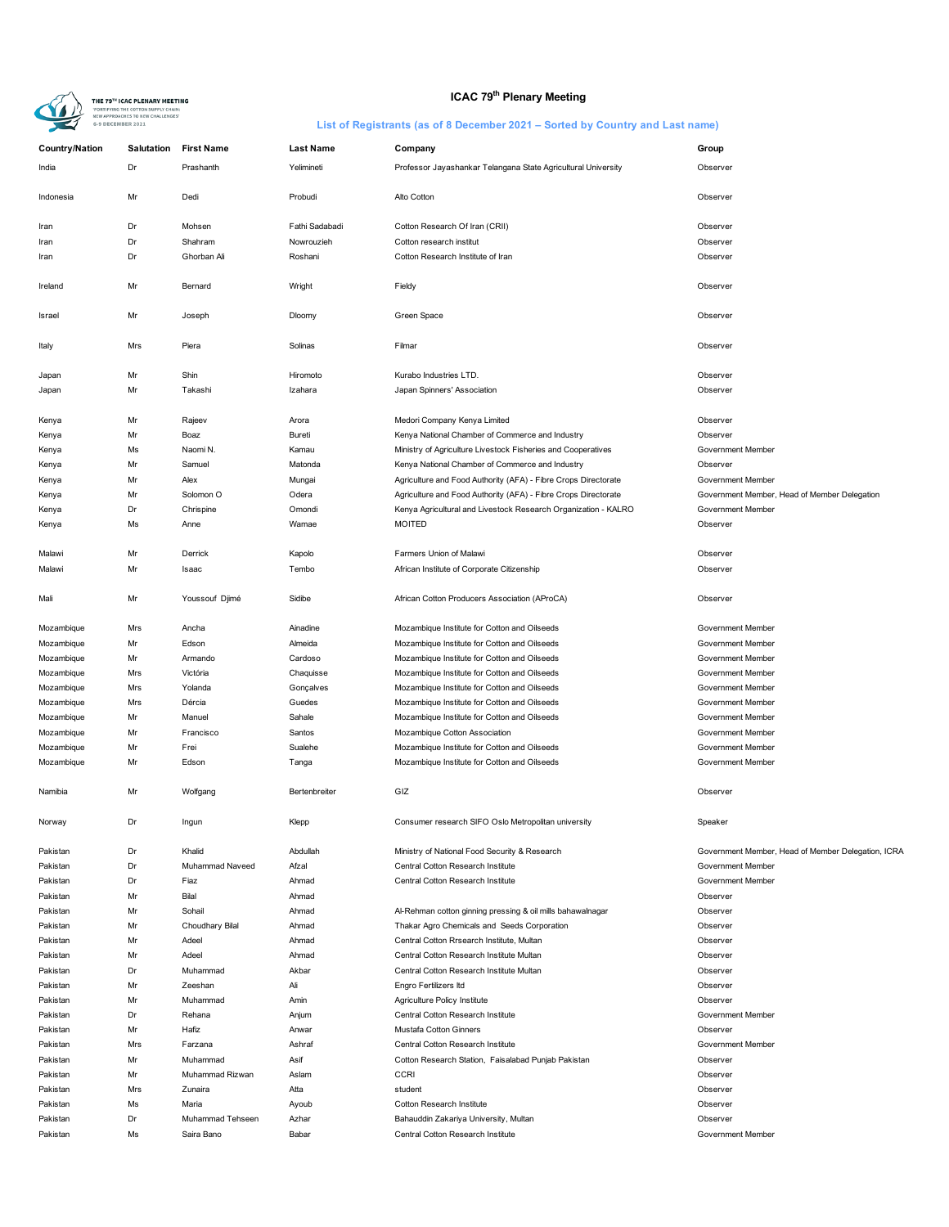

# **ICAC 79<sup>th</sup> Plenary Meeting**

| <b>Country/Nation</b> | Salutation | <b>First Name</b>    | <b>Last Name</b> | Company                                                        | Group                                              |
|-----------------------|------------|----------------------|------------------|----------------------------------------------------------------|----------------------------------------------------|
| India                 | Dr         | Prashanth            | Yelimineti       | Professor Jayashankar Telangana State Agricultural University  | Observer                                           |
| Indonesia             | Mr         | Dedi                 | Probudi          | Alto Cotton                                                    | Observer                                           |
| Iran                  | Dr         | Mohsen               | Fathi Sadabadi   | Cotton Research Of Iran (CRII)                                 | Observer                                           |
| Iran                  | Dr         | Shahram              | Nowrouzieh       | Cotton research institut                                       | Observer                                           |
| Iran                  | Dr         | Ghorban Ali          | Roshani          | Cotton Research Institute of Iran                              | Observer                                           |
|                       |            |                      |                  |                                                                |                                                    |
| Ireland               | Mr         | Bernard              | Wright           | Fieldy                                                         | Observer                                           |
| Israel                | Mr         | Joseph               | Dloomy           | Green Space                                                    | Observer                                           |
| Italy                 | Mrs        | Piera                | Solinas          | Filmar                                                         | Observer                                           |
| Japan                 | Mr         | Shin                 | Hiromoto         | Kurabo Industries LTD.                                         | Observer                                           |
| Japan                 | Mr         | Takashi              | Izahara          | Japan Spinners' Association                                    | Observer                                           |
|                       |            |                      |                  |                                                                |                                                    |
| Kenya                 | Mr         | Rajeev               | Arora            | Medori Company Kenya Limited                                   | Observer                                           |
| Kenya                 | Mr         | Boaz                 | Bureti           | Kenya National Chamber of Commerce and Industry                | Observer                                           |
| Kenya                 | Ms         | Naomi N.             | Kamau            | Ministry of Agriculture Livestock Fisheries and Cooperatives   | Government Member                                  |
| Kenya                 | Mr         | Samuel               | Matonda          | Kenya National Chamber of Commerce and Industry                | Observer                                           |
| Kenya                 | Mr         | Alex                 | Mungai           | Agriculture and Food Authority (AFA) - Fibre Crops Directorate | Government Member                                  |
| Kenya                 | Mr         | Solomon <sub>O</sub> | Odera            | Agriculture and Food Authority (AFA) - Fibre Crops Directorate | Government Member, Head of Member Delegation       |
|                       |            |                      |                  |                                                                | Government Member                                  |
| Kenya                 | Dr         | Chrispine            | Omondi           | Kenya Agricultural and Livestock Research Organization - KALRO |                                                    |
| Kenya                 | Ms         | Anne                 | Wamae            | <b>MOITED</b>                                                  | Observer                                           |
| Malawi                | Mr         | Derrick              | Kapolo           | Farmers Union of Malawi                                        | Observer                                           |
| Malawi                | Mr         | Isaac                | Tembo            | African Institute of Corporate Citizenship                     | Observer                                           |
| Mali                  | Mr         | Youssouf Djimé       | Sidibe           | African Cotton Producers Association (AProCA)                  | Observer                                           |
| Mozambique            | Mrs        | Ancha                | Ainadine         | Mozambique Institute for Cotton and Oilseeds                   | Government Member                                  |
| Mozambique            | Mr         | Edson                | Almeida          | Mozambique Institute for Cotton and Oilseeds                   | Government Member                                  |
| Mozambique            | Mr         | Armando              | Cardoso          | Mozambique Institute for Cotton and Oilseeds                   | Government Member                                  |
| Mozambique            | Mrs        | Victória             | Chaquisse        | Mozambique Institute for Cotton and Oilseeds                   | Government Member                                  |
| Mozambique            | Mrs        | Yolanda              | Gonçalves        | Mozambique Institute for Cotton and Oilseeds                   | Government Member                                  |
| Mozambique            | Mrs        | Dércia               | Guedes           | Mozambique Institute for Cotton and Oilseeds                   | Government Member                                  |
| Mozambique            | Mr         | Manuel               | Sahale           | Mozambique Institute for Cotton and Oilseeds                   | Government Member                                  |
| Mozambique            | Mr         | Francisco            | Santos           | Mozambique Cotton Association                                  | Government Member                                  |
| Mozambique            | Mr         | Frei                 | Sualehe          | Mozambique Institute for Cotton and Oilseeds                   | Government Member                                  |
|                       |            | Edson                |                  |                                                                |                                                    |
| Mozambique            | Mr         |                      | Tanga            | Mozambique Institute for Cotton and Oilseeds                   | Government Member                                  |
| Namibia               | Mr         | Wolfgang             | Bertenbreiter    | GIZ                                                            | Observer                                           |
| Norway                | Dr         | Ingun                | Klepp            | Consumer research SIFO Oslo Metropolitan university            | Speaker                                            |
| Pakistan              | Dr         | Khalid               | Abdullah         | Ministry of National Food Security & Research                  | Government Member, Head of Member Delegation, ICRA |
| Pakistan              | Dr         | Muhammad Naveed      | Afzal            | Central Cotton Research Institute                              | Government Member                                  |
| Pakistan              | Dr         | Fiaz                 | Ahmad            | Central Cotton Research Institute                              | Government Member                                  |
| Pakistan              | Mr         | Bilal                | Ahmad            |                                                                | Observer                                           |
| Pakistan              | Mr         | Sohail               | Ahmad            | Al-Rehman cotton ginning pressing & oil mills bahawalnagar     | Observer                                           |
| Pakistan              | Mr         | Choudhary Bilal      | Ahmad            | Thakar Agro Chemicals and Seeds Corporation                    | Observer                                           |
| Pakistan              | Mr         | Adeel                | Ahmad            | Central Cotton Rrsearch Institute, Multan                      | Observer                                           |
| Pakistan              | Mr         | Adeel                | Ahmad            | Central Cotton Research Institute Multan                       | Observer                                           |
|                       |            |                      |                  |                                                                |                                                    |
| Pakistan              | Dr         | Muhammad             | Akbar            | Central Cotton Research Institute Multan                       | Observer                                           |
| Pakistan              | Mr         | Zeeshan              | Ali              | Engro Fertilizers Itd                                          | Observer                                           |
| Pakistan              | Mr         | Muhammad             | Amin             | Agriculture Policy Institute                                   | Observer                                           |
| Pakistan              | Dr         | Rehana               | Anjum            | Central Cotton Research Institute                              | Government Member                                  |
| Pakistan              | Mr         | Hafiz                | Anwar            | Mustafa Cotton Ginners                                         | Observer                                           |
| Pakistan              | Mrs        | Farzana              | Ashraf           | Central Cotton Research Institute                              | Government Member                                  |
| Pakistan              | Mr         | Muhammad             | Asif             | Cotton Research Station, Faisalabad Punjab Pakistan            | Observer                                           |
| Pakistan              | Mr         | Muhammad Rizwan      | Aslam            | <b>CCRI</b>                                                    | Observer                                           |
| Pakistan              | Mrs        | Zunaira              | Atta             | student                                                        | Observer                                           |
| Pakistan              | Ms         | Maria                | Ayoub            | Cotton Research Institute                                      | Observer                                           |
| Pakistan              | Dr         | Muhammad Tehseen     | Azhar            | Bahauddin Zakariya University, Multan                          | Observer                                           |
|                       |            |                      |                  | Central Cotton Research Institute                              |                                                    |
| Pakistan              | Ms         | Saira Bano           | Babar            |                                                                | Government Member                                  |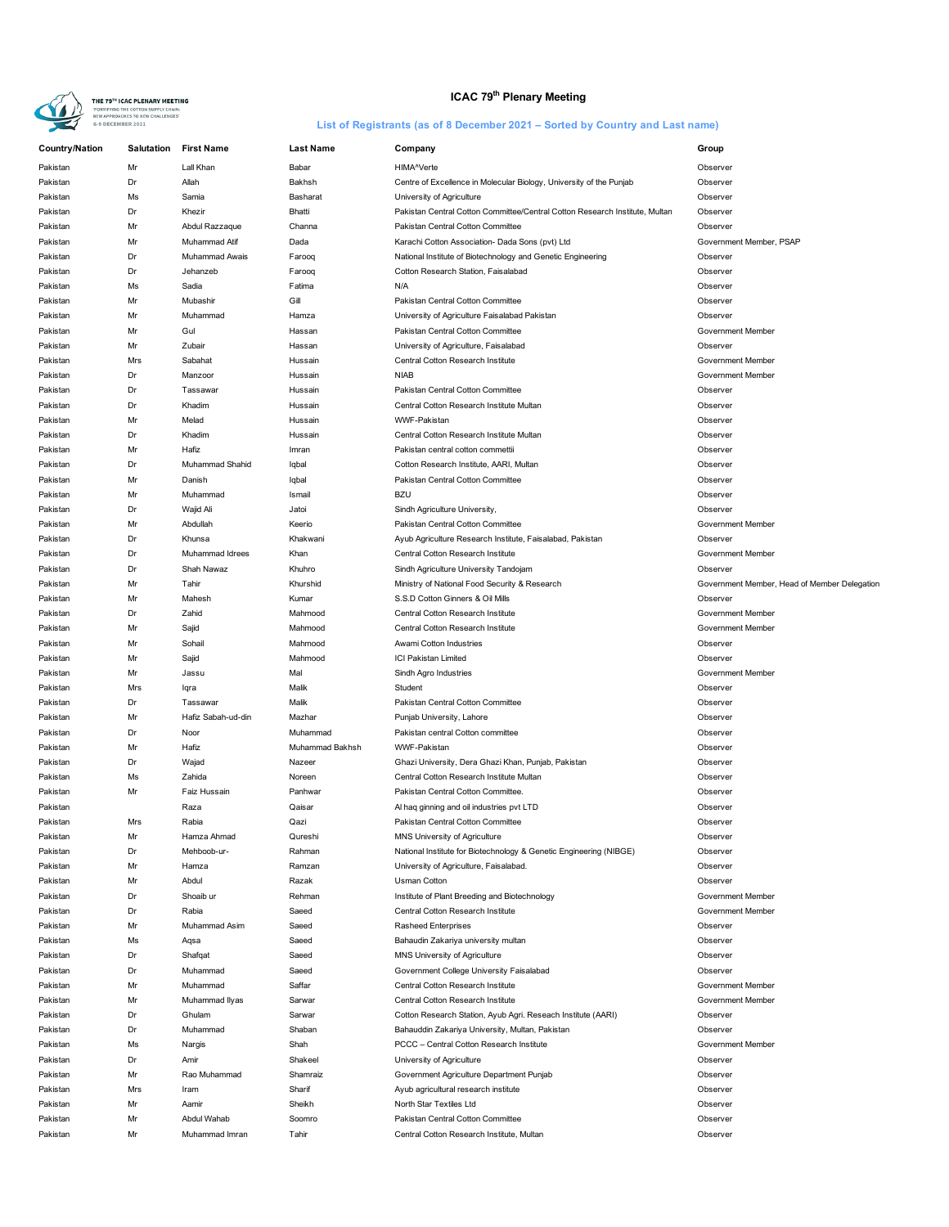

# **ICAC 79<sup>th</sup> Plenary Meeting**

| <b>Country/Nation</b> | <b>Salutation</b> | <b>First Name</b>  | <b>Last Name</b> | Company                                                                     | Group                                        |
|-----------------------|-------------------|--------------------|------------------|-----------------------------------------------------------------------------|----------------------------------------------|
| Pakistan              | Mr                | Lall Khan          | Babar            | HIMA^Verte                                                                  | Observer                                     |
| Pakistan              | Dr                | Allah              | Bakhsh           | Centre of Excellence in Molecular Biology, University of the Punjab         | Observer                                     |
| Pakistan              | Ms                | Samia              | Basharat         | University of Agriculture                                                   | Observer                                     |
| Pakistan              | Dr                | Khezir             | Bhatti           | Pakistan Central Cotton Committee/Central Cotton Research Institute, Multan | Observer                                     |
| Pakistan              | Mr                | Abdul Razzaque     | Channa           | Pakistan Central Cotton Committee                                           | Observer                                     |
| Pakistan              | Mr                | Muhammad Atif      | Dada             | Karachi Cotton Association- Dada Sons (pvt) Ltd                             | Government Member, PSAP                      |
| Pakistan              | Dr                | Muhammad Awais     | Farooq           | National Institute of Biotechnology and Genetic Engineering                 | Observer                                     |
| Pakistan              | Dr                | Jehanzeb           | Farooq           | Cotton Research Station, Faisalabad                                         | Observer                                     |
| Pakistan              | Ms                | Sadia              | Fatima           | N/A                                                                         | Observer                                     |
| Pakistan              | Mr                | Mubashir           | Gill             | Pakistan Central Cotton Committee                                           | Observer                                     |
| Pakistan              | Mr                | Muhammad           | Hamza            | University of Agriculture Faisalabad Pakistan                               | Observer                                     |
| Pakistan              | Mr                | Gul                | Hassan           | Pakistan Central Cotton Committee                                           | Government Member                            |
| Pakistan              | Mr                | Zubair             | Hassan           | University of Agriculture, Faisalabad                                       | Observer                                     |
| Pakistan              | Mrs               | Sabahat            | Hussain          | Central Cotton Research Institute                                           | Government Member                            |
| Pakistan              | Dr                | Manzoor            | Hussain          | <b>NIAB</b>                                                                 | Government Member                            |
| Pakistan              | Dr                | Tassawar           | Hussain          | Pakistan Central Cotton Committee                                           | Observer                                     |
| Pakistan              | Dr                | Khadim             | Hussain          | Central Cotton Research Institute Multan                                    | Observer                                     |
| Pakistan              | Mr                | Melad              | Hussain          | WWF-Pakistan                                                                | Observer                                     |
| Pakistan              | Dr                | Khadim             | Hussain          | Central Cotton Research Institute Multan                                    | Observer                                     |
| Pakistan              | Mr                | Hafiz              | Imran            | Pakistan central cotton commettii                                           | Observer                                     |
| Pakistan              | Dr                | Muhammad Shahid    | Iqbal            | Cotton Research Institute, AARI, Multan                                     | Observer                                     |
| Pakistan              | Mr                | Danish             | Iqbal            | Pakistan Central Cotton Committee                                           | Observer                                     |
| Pakistan              | Mr                | Muhammad           | Ismail           | <b>BZU</b>                                                                  | Observer                                     |
| Pakistan              | Dr                | Wajid Ali          | Jatoi            | Sindh Agriculture University,                                               | Observer                                     |
| Pakistan              | Mr                | Abdullah           | Keerio           | Pakistan Central Cotton Committee                                           | Government Member                            |
| Pakistan              | Dr                | Khunsa             | Khakwani         | Ayub Agriculture Research Institute, Faisalabad, Pakistan                   | Observer                                     |
| Pakistan              | Dr                | Muhammad Idrees    | Khan             | Central Cotton Research Institute                                           | Government Member                            |
| Pakistan              | Dr                | Shah Nawaz         | Khuhro           | Sindh Agriculture University Tandojam                                       | Observer                                     |
| Pakistan              | Mr                | Tahir              | Khurshid         | Ministry of National Food Security & Research                               | Government Member, Head of Member Delegation |
| Pakistan              | Mr                | Mahesh             | Kumar            | S.S.D Cotton Ginners & Oil Mills                                            | Observer                                     |
| Pakistan              | Dr                | Zahid              | Mahmood          | Central Cotton Research Institute                                           | Government Member                            |
| Pakistan              | Mr                | Sajid              | Mahmood          | Central Cotton Research Institute                                           | Government Member                            |
| Pakistan              | Mr                | Sohail             | Mahmood          | Awami Cotton Industries                                                     | Observer                                     |
| Pakistan              | Mr                | Sajid              | Mahmood          | ICI Pakistan Limited                                                        | Observer                                     |
| Pakistan              | Mr                | Jassu              | Mal              | Sindh Agro Industries                                                       | Government Member                            |
| Pakistan              | Mrs               | lqra               | Malik            | Student                                                                     | Observer                                     |
| Pakistan              | Dr                | Tassawar           | Malik            | Pakistan Central Cotton Committee                                           | Observer                                     |
| Pakistan              | Mr                | Hafiz Sabah-ud-din | Mazhar           | Punjab University, Lahore                                                   | Observer                                     |
| Pakistan              | Dr                | Noor               | Muhammad         | Pakistan central Cotton committee                                           | Observer                                     |
| Pakistan              | Mr                | Hafiz              | Muhammad Bakhsh  | WWF-Pakistan                                                                | Observer                                     |
| Pakistan              | $\mathsf{Dr}$     | Wajad              | Nazeer           | Ghazi University, Dera Ghazi Khan, Punjab, Pakistan                         | Observer                                     |
| Pakistan              | Ms                | Zahida             | Noreen           | Central Cotton Research Institute Multan                                    | Observer                                     |
| Pakistan              | Mr                | Faiz Hussain       | Panhwar          | Pakistan Central Cotton Committee.                                          | Observer                                     |
| Pakistan              |                   | Raza               | Qaisar           | Al haq ginning and oil industries pvt LTD                                   | Observer                                     |
| Pakistan              | Mrs               | Rabia              | Qazi             | Pakistan Central Cotton Committee                                           | Observer                                     |
| Pakistan              |                   | Hamza Ahmad        | Qureshi          | MNS University of Agriculture                                               | Observer                                     |
| Pakistan              | Dr                | Mehboob-ur-        | Rahman           | National Institute for Biotechnology & Genetic Engineering (NIBGE)          | Observer                                     |
| Pakistan              | Mr                | Hamza              | Ramzan           | University of Agriculture, Faisalabad.                                      | Observer                                     |
| Pakistan              | Mr                | Abdul              | Razak            | <b>Usman Cotton</b>                                                         | Observer                                     |
| Pakistan              | Dr                | Shoaib ur          | Rehman           | Institute of Plant Breeding and Biotechnology                               | Government Member                            |
| Pakistan              | Dr                | Rabia              | Saeed            | Central Cotton Research Institute                                           | Government Member                            |
| Pakistan              | Mr                | Muhammad Asim      | Saeed            | <b>Rasheed Enterprises</b>                                                  | Observer                                     |
| Pakistan              | Ms                | Aqsa               | Saeed            | Bahaudin Zakariya university multan                                         | Observer                                     |
| Pakistan              | Dr                | Shafqat            | Saeed            | MNS University of Agriculture                                               | Observer                                     |
| Pakistan              | Dr                | Muhammad           | Saeed            | Government College University Faisalabad                                    | Observer                                     |
| Pakistan              | Mr                | Muhammad           | Saffar           | Central Cotton Research Institute                                           | Government Member                            |
| Pakistan              | Mr                | Muhammad Ilyas     | Sarwar           | Central Cotton Research Institute                                           | Government Member                            |
| Pakistan              | Dr                | Ghulam             | Sarwar           | Cotton Research Station, Ayub Agri. Reseach Institute (AARI)                | Observer                                     |
| Pakistan              | Dr                | Muhammad           | Shaban           | Bahauddin Zakariya University, Multan, Pakistan                             | Observer                                     |
| Pakistan              | Ms                | Nargis             | Shah             | PCCC - Central Cotton Research Institute                                    | Government Member                            |
| Pakistan              | Dr                | Amir               | Shakeel          | University of Agriculture                                                   | Observer                                     |
| Pakistan              | Mr                | Rao Muhammad       | Shamraiz         | Government Agriculture Department Punjab                                    | Observer                                     |
| Pakistan              | Mrs               | Iram               | Sharif           | Ayub agricultural research institute                                        | Observer                                     |
| Pakistan              | Mr                | Aamir              | Sheikh           | North Star Textiles Ltd                                                     | Observer                                     |
| Pakistan              | Mr                | Abdul Wahab        | Soomro           | Pakistan Central Cotton Committee                                           | Observer                                     |
| Pakistan              | Mr                | Muhammad Imran     | Tahir            | Central Cotton Research Institute, Multan                                   | Observer                                     |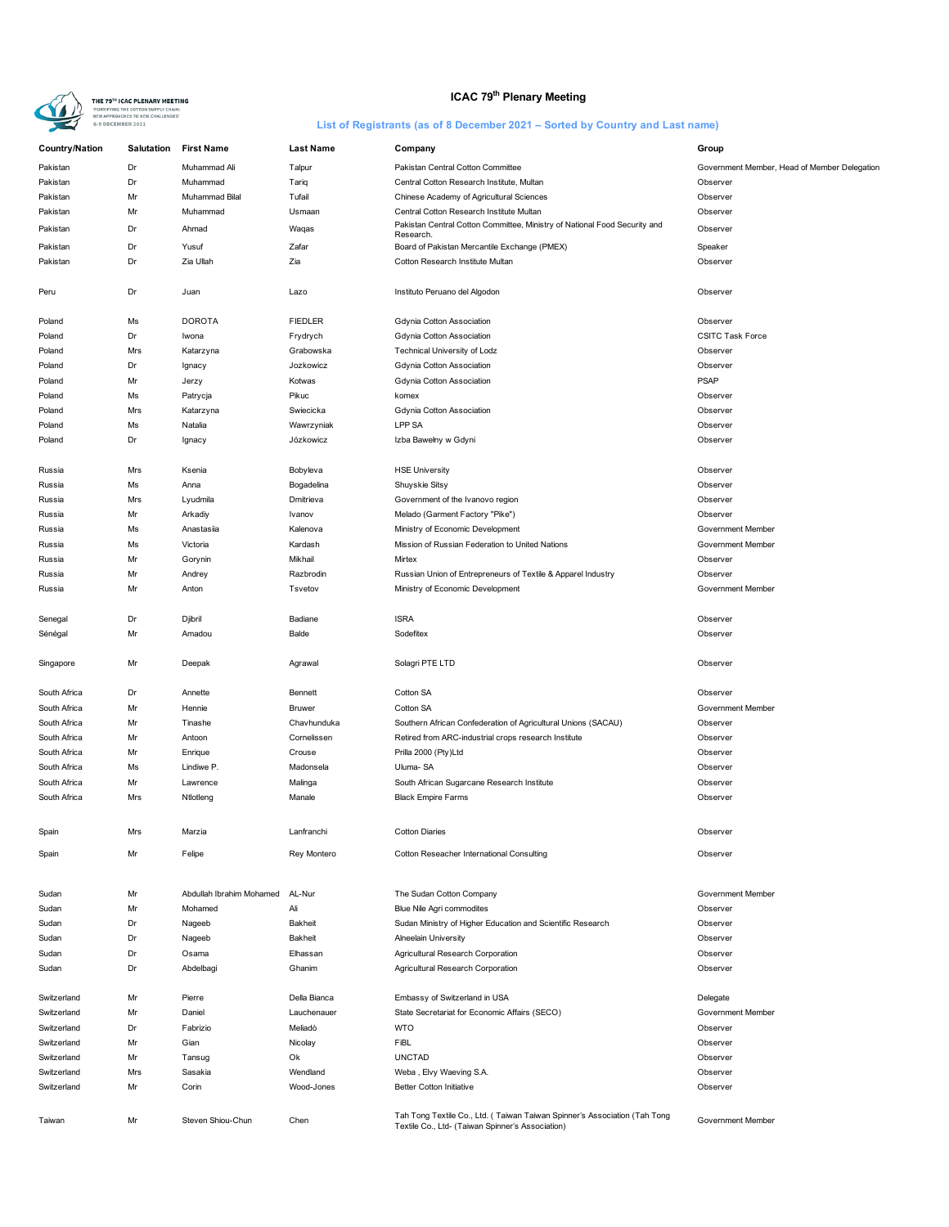

# **ICAC 79<sup>th</sup> Plenary Meeting**

| Country/Nation | <b>Salutation</b> | <b>First Name</b>        | <b>Last Name</b> | Company                                                                                                                       | Group                                        |
|----------------|-------------------|--------------------------|------------------|-------------------------------------------------------------------------------------------------------------------------------|----------------------------------------------|
| Pakistan       | Dr                | Muhammad Ali             | Talpur           | Pakistan Central Cotton Committee                                                                                             | Government Member, Head of Member Delegation |
| Pakistan       | Dr                | Muhammad                 | Tariq            | Central Cotton Research Institute, Multan                                                                                     | Observer                                     |
| Pakistan       | Mr                | Muhammad Bilal           | Tufail           | Chinese Academy of Agricultural Sciences                                                                                      | Observer                                     |
| Pakistan       | Mr                | Muhammad                 | Usmaan           | Central Cotton Research Institute Multan                                                                                      | Observer                                     |
| Pakistan       | Dr                | Ahmad                    | Waqas            | Pakistan Central Cotton Committee, Ministry of National Food Security and                                                     | Observer                                     |
|                |                   |                          |                  | Research.                                                                                                                     |                                              |
| Pakistan       | Dr                | Yusuf                    | Zafar            | Board of Pakistan Mercantile Exchange (PMEX)                                                                                  | Speaker                                      |
| Pakistan       | Dr                | Zia Ullah                | Zia              | Cotton Research Institute Multan                                                                                              | Observer                                     |
| Peru           | Dr                | Juan                     | Lazo             | Instituto Peruano del Algodon                                                                                                 | Observer                                     |
| Poland         | Ms                | <b>DOROTA</b>            | <b>FIEDLER</b>   | Gdynia Cotton Association                                                                                                     | Observer                                     |
| Poland         | Dr                | Iwona                    | Frydrych         | Gdynia Cotton Association                                                                                                     | <b>CSITC Task Force</b>                      |
| Poland         | Mrs               | Katarzyna                | Grabowska        | Technical University of Lodz                                                                                                  | Observer                                     |
| Poland         | Dr                | Ignacy                   | Jozkowicz        | Gdynia Cotton Association                                                                                                     | Observer                                     |
| Poland         | Mr                | Jerzy                    | Kotwas           | Gdynia Cotton Association                                                                                                     | <b>PSAP</b>                                  |
| Poland         | Ms                | Patrycja                 | Pikuc            | komex                                                                                                                         | Observer                                     |
| Poland         | Mrs               | Katarzyna                | Swiecicka        | Gdynia Cotton Association                                                                                                     | Observer                                     |
| Poland         | Ms                | Natalia                  | Wawrzyniak       | <b>LPP SA</b>                                                                                                                 | Observer                                     |
| Poland         | Dr                | Ignacy                   | Józkowicz        | Izba Bawełny w Gdyni                                                                                                          | Observer                                     |
|                |                   |                          |                  |                                                                                                                               |                                              |
| Russia         | Mrs               | Ksenia                   | Bobyleva         | <b>HSE University</b>                                                                                                         | Observer                                     |
| Russia         | Ms                | Anna                     | Bogadelina       | Shuyskie Sitsy                                                                                                                | Observer                                     |
| Russia         | Mrs               | Lyudmila                 | Dmitrieva        | Government of the Ivanovo region                                                                                              | Observer                                     |
| Russia         | Mr                | Arkadiy                  | Ivanov           | Melado (Garment Factory "Pike")                                                                                               | Observer                                     |
| Russia         | Ms                | Anastasiia               | Kalenova         | Ministry of Economic Development                                                                                              | Government Member                            |
| Russia         | Ms                | Victoria                 | Kardash          | Mission of Russian Federation to United Nations                                                                               | Government Member                            |
| Russia         | Mr                | Gorynin                  | Mikhail          | Mirtex                                                                                                                        | Observer                                     |
| Russia         | Mr                | Andrey                   | Razbrodin        | Russian Union of Entrepreneurs of Textile & Apparel Industry                                                                  | Observer                                     |
| Russia         | Mr                | Anton                    | Tsvetov          | Ministry of Economic Development                                                                                              | Government Member                            |
| Senegal        | Dr                | Djibril                  | Badiane          | <b>ISRA</b>                                                                                                                   | Observer                                     |
| Sénégal        | Mr                | Amadou                   | Balde            | Sodefitex                                                                                                                     | Observer                                     |
|                |                   |                          |                  |                                                                                                                               |                                              |
| Singapore      | Mr                | Deepak                   | Agrawal          | Solagri PTE LTD                                                                                                               | Observer                                     |
| South Africa   | Dr                | Annette                  | Bennett          | Cotton SA                                                                                                                     | Observer                                     |
| South Africa   | Mr                | Hennie                   | Bruwer           | Cotton SA                                                                                                                     | Government Member                            |
| South Africa   | Mr                | Tinashe                  | Chavhunduka      | Southern African Confederation of Agricultural Unions (SACAU)                                                                 | Observer                                     |
| South Africa   | Mr                | Antoon                   | Cornelissen      | Retired from ARC-industrial crops research Institute                                                                          | Observer                                     |
| South Africa   | Mr                | Enrique                  | Crouse           | Prilla 2000 (Pty)Ltd                                                                                                          | Observer                                     |
| South Africa   | Ms                | Lindiwe P.               | Madonsela        | Uluma-SA                                                                                                                      | Observer                                     |
| South Africa   | Mr                | Lawrence                 | Malinga          | South African Sugarcane Research Institute                                                                                    | Observer                                     |
| South Africa   | Mrs               | Ntlotleng                | Manale           | <b>Black Empire Farms</b>                                                                                                     | Observer                                     |
|                |                   |                          |                  |                                                                                                                               |                                              |
| Spain          | Mrs               | Marzia                   | Lanfranchi       | <b>Cotton Diaries</b>                                                                                                         | Observer                                     |
| Spain          | Mr                | Felipe                   | Rey Montero      | Cotton Reseacher International Consulting                                                                                     | Observer                                     |
|                |                   |                          |                  |                                                                                                                               |                                              |
| Sudan          | Mr                | Abdullah Ibrahim Mohamed | AL-Nur           | The Sudan Cotton Company                                                                                                      | Government Member                            |
| Sudan          | Mr                | Mohamed                  | Ali              | Blue Nile Agri commodites                                                                                                     | Observer                                     |
| Sudan          | Dr                | Nageeb                   | Bakheit          | Sudan Ministry of Higher Education and Scientific Research                                                                    | Observer                                     |
| Sudan          | Dr                | Nageeb                   | Bakheit          | Alneelain University                                                                                                          | Observer                                     |
| Sudan          | Dr                | Osama                    | Elhassan         | Agricultural Research Corporation                                                                                             | Observer                                     |
| Sudan          | Dr                | Abdelbagi                | Ghanim           | Agricultural Research Corporation                                                                                             | Observer                                     |
|                |                   |                          |                  |                                                                                                                               |                                              |
| Switzerland    | Mr                | Pierre                   | Della Bianca     | Embassy of Switzerland in USA                                                                                                 | Delegate                                     |
| Switzerland    | Mr                | Daniel                   | Lauchenauer      | State Secretariat for Economic Affairs (SECO)                                                                                 | Government Member                            |
| Switzerland    | Dr                | Fabrizio                 | Meliadò          | <b>WTO</b>                                                                                                                    | Observer                                     |
| Switzerland    | Mr                | Gian                     | Nicolay          | FiBL                                                                                                                          | Observer                                     |
| Switzerland    | Mr                | Tansug                   | Ok               | <b>UNCTAD</b>                                                                                                                 | Observer                                     |
| Switzerland    | Mrs               | Sasakia                  | Wendland         | Weba, Elvy Waeving S.A.                                                                                                       | Observer                                     |
| Switzerland    | Mr                | Corin                    | Wood-Jones       | <b>Better Cotton Initiative</b>                                                                                               | Observer                                     |
|                |                   |                          |                  |                                                                                                                               |                                              |
| Taiwan         | Mr                | Steven Shiou-Chun        | Chen             | Tah Tong Textile Co., Ltd. (Taiwan Taiwan Spinner's Association (Tah Tong<br>Textile Co., Ltd- (Taiwan Spinner's Association) | Government Member                            |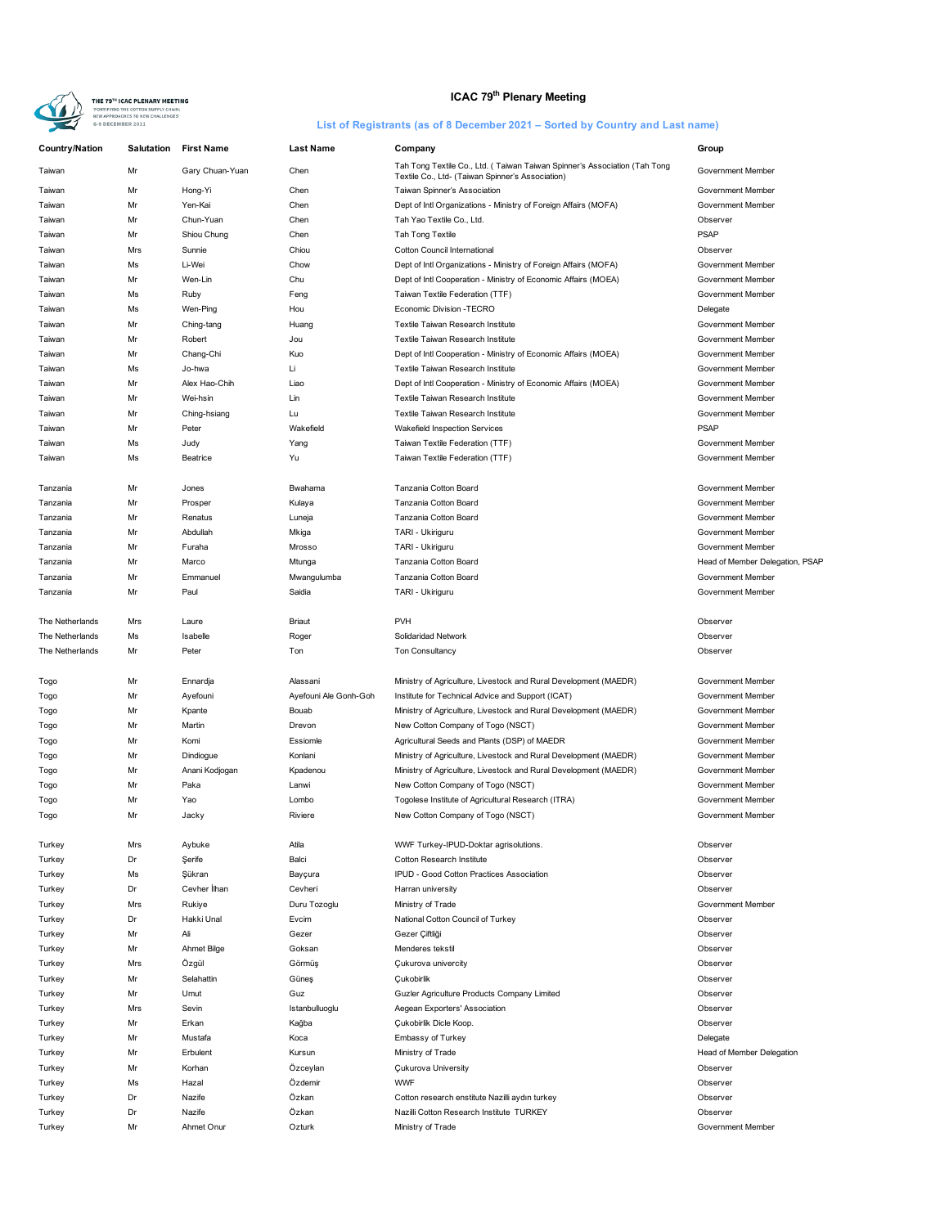

# **ICAC 79<sup>th</sup> Plenary Meeting**

| <b>Country/Nation</b> | <b>Salutation</b> | <b>First Name</b>  | <b>Last Name</b>      | Company                                                                                                                       | Group                           |
|-----------------------|-------------------|--------------------|-----------------------|-------------------------------------------------------------------------------------------------------------------------------|---------------------------------|
| Taiwan                | Mr                | Gary Chuan-Yuan    | Chen                  | Tah Tong Textile Co., Ltd. (Taiwan Taiwan Spinner's Association (Tah Tong<br>Textile Co., Ltd- (Taiwan Spinner's Association) | Government Member               |
| Taiwan                | Mr                | Hong-Yi            | Chen                  | Taiwan Spinner's Association                                                                                                  | Government Member               |
| Taiwan                | Mr                | Yen-Kai            | Chen                  | Dept of Intl Organizations - Ministry of Foreign Affairs (MOFA)                                                               | Government Member               |
| Taiwan                | Mr                | Chun-Yuan          | Chen                  | Tah Yao Textile Co., Ltd.                                                                                                     | Observer                        |
| Taiwan                | Mr                | Shiou Chung        | Chen                  | Tah Tong Textile                                                                                                              | <b>PSAP</b>                     |
| Taiwan                | Mrs               | Sunnie             | Chiou                 | Cotton Council International                                                                                                  | Observer                        |
| Taiwan                | Ms                | Li-Wei             | Chow                  | Dept of Intl Organizations - Ministry of Foreign Affairs (MOFA)                                                               | Government Member               |
| Taiwan                | Mr                | Wen-Lin            | Chu                   | Dept of Intl Cooperation - Ministry of Economic Affairs (MOEA)                                                                | Government Member               |
| Taiwan                | Ms                | Ruby               | Feng                  | Taiwan Textile Federation (TTF)                                                                                               | Government Member               |
| Taiwan                | Ms                | Wen-Ping           | Hou                   | Economic Division -TECRO                                                                                                      | Delegate                        |
| Taiwan                | Mr                | Ching-tang         | Huang                 | Textile Taiwan Research Institute                                                                                             | Government Member               |
| Taiwan                | Mr                | Robert             |                       | Textile Taiwan Research Institute                                                                                             | Government Member               |
|                       | Mr                |                    | Jou<br>Kuo            |                                                                                                                               | Government Member               |
| Taiwan                |                   | Chang-Chi          |                       | Dept of Intl Cooperation - Ministry of Economic Affairs (MOEA)                                                                |                                 |
| Taiwan                | Ms                | Jo-hwa             | Li                    | Textile Taiwan Research Institute                                                                                             | Government Member               |
| Taiwan                | Mr                | Alex Hao-Chih      | Liao                  | Dept of Intl Cooperation - Ministry of Economic Affairs (MOEA)                                                                | Government Member               |
| Taiwan                | Mr                | Wei-hsin           | Lin                   | Textile Taiwan Research Institute                                                                                             | Government Member               |
| Taiwan                | Mr                | Ching-hsiang       | Lu                    | Textile Taiwan Research Institute                                                                                             | Government Member               |
| Taiwan                | Mr                | Peter              | Wakefield             | Wakefield Inspection Services                                                                                                 | <b>PSAP</b>                     |
| Taiwan                | Ms                | Judy               | Yang                  | Taiwan Textile Federation (TTF)                                                                                               | Government Member               |
| Taiwan                | Ms                | Beatrice           | Yu                    | Taiwan Textile Federation (TTF)                                                                                               | Government Member               |
| Tanzania              | Mr                | Jones              | Bwahama               | Tanzania Cotton Board                                                                                                         | Government Member               |
| Tanzania              | Mr                | Prosper            | Kulaya                | Tanzania Cotton Board                                                                                                         | <b>Government Member</b>        |
| Tanzania              | Mr                | Renatus            | Luneja                | Tanzania Cotton Board                                                                                                         | Government Member               |
| Tanzania              | Mr                | Abdullah           | Mkiga                 | TARI - Ukiriguru                                                                                                              | Government Member               |
| Tanzania              | Mr                | Furaha             | Mrosso                | TARI - Ukiriguru                                                                                                              | Government Member               |
| Tanzania              | Mr                | Marco              | Mtunga                | Tanzania Cotton Board                                                                                                         | Head of Member Delegation, PSAP |
| Tanzania              | Mr                | Emmanuel           | Mwangulumba           | Tanzania Cotton Board                                                                                                         | Government Member               |
| Tanzania              | Mr                | Paul               | Saidia                | TARI - Ukiriguru                                                                                                              | Government Member               |
| The Netherlands       | Mrs               | Laure              | Briaut                | <b>PVH</b>                                                                                                                    | Observer                        |
| The Netherlands       | Ms                | Isabelle           | Roger                 | Solidaridad Network                                                                                                           | Observer                        |
| The Netherlands       | Mr                | Peter              | Ton                   | Ton Consultancy                                                                                                               | Observer                        |
|                       |                   |                    |                       |                                                                                                                               |                                 |
| Togo                  | Mr                | Ennardja           | Alassani              | Ministry of Agriculture, Livestock and Rural Development (MAEDR)                                                              | Government Member               |
| Togo                  | Mr                | Ayefouni           | Ayefouni Ale Gonh-Goh | Institute for Technical Advice and Support (ICAT)                                                                             | Government Member               |
| Togo                  | Mr                | Kpante             | Bouab                 | Ministry of Agriculture, Livestock and Rural Development (MAEDR)                                                              | Government Member               |
| Togo                  | Mr                | Martin             | Drevon                | New Cotton Company of Togo (NSCT)                                                                                             | Government Member               |
| Togo                  | Mr                | Komi               | Essiomle              | Agricultural Seeds and Plants (DSP) of MAEDR                                                                                  | Government Member               |
| Togo                  | Mr                | Dindiogue          | Konlani               | Ministry of Agriculture, Livestock and Rural Development (MAEDR)                                                              | Government Member               |
| Togo                  | Mr                | Anani Kodjogan     | Kpadenou              | Ministry of Agriculture, Livestock and Rural Development (MAEDR)                                                              | Government Member               |
| Togo                  | Mr                | Paka               | Lanwi                 | New Cotton Company of Togo (NSCT)                                                                                             | Government Member               |
| Togo                  | Mr                | Yao                | Lombo                 | Togolese Institute of Agricultural Research (ITRA)                                                                            | Government Member               |
| Togo                  | Mr                | Jacky              | Riviere               | New Cotton Company of Togo (NSCT)                                                                                             | Government Member               |
| Turkey                | Mrs               | Aybuke             | Atila                 | WWF Turkey-IPUD-Doktar agrisolutions.                                                                                         | Observer                        |
| Turkey                | Dr                | Serife             | Balci                 | Cotton Research Institute                                                                                                     | Observer                        |
| Turkey                | Ms                | Şükran             | Bayçura               | IPUD - Good Cotton Practices Association                                                                                      | Observer                        |
| Turkey                | Dr                | Cevher Ilhan       | Cevheri               | Harran university                                                                                                             | Observer                        |
| Turkey                | Mrs               | Rukiye             | Duru Tozoglu          | Ministry of Trade                                                                                                             | Government Member               |
| Turkey                | Dr                | Hakki Unal         | Evcim                 | National Cotton Council of Turkey                                                                                             | Observer                        |
| Turkey                | Mr                | Ali                | Gezer                 | Gezer Ciftliği                                                                                                                | Observer                        |
| Turkey                | Mr                | <b>Ahmet Bilge</b> | Goksan                | Menderes tekstil                                                                                                              | Observer                        |
| Turkey                | Mrs               | Özgül              | Görmüş                | Cukurova univercity                                                                                                           | Observer                        |
| Turkey                | Mr                | Selahattin         | Güneş                 | <b>Çukobirlik</b>                                                                                                             | Observer                        |
| Turkey                | Mr                | Umut               | Guz                   | Guzler Agriculture Products Company Limited                                                                                   | Observer                        |
| Turkey                | Mrs               | Sevin              | Istanbulluoglu        | Aegean Exporters' Association                                                                                                 | Observer                        |
|                       | Mr                | Erkan              |                       |                                                                                                                               | Observer                        |
| Turkey                |                   |                    | Kağba                 | Çukobirlik Dicle Koop.                                                                                                        |                                 |
| Turkey                | Mr                | Mustafa            | Koca                  | Embassy of Turkey                                                                                                             | Delegate                        |
| Turkey                | Mr                | Erbulent           | Kursun                | Ministry of Trade                                                                                                             | Head of Member Delegation       |
| Turkey                | Mr                | Korhan             | Özceylan              | <b>Cukurova University</b>                                                                                                    | Observer                        |
| Turkey                | Ms                | Hazal              | Özdemir               | <b>WWF</b>                                                                                                                    | Observer                        |
| Turkey                | Dr                | Nazife             | Özkan                 | Cotton research enstitute Nazilli aydın turkey                                                                                | Observer                        |
| Turkey                | Dr                | Nazife             | Özkan                 | Nazilli Cotton Research Institute TURKEY                                                                                      | Observer                        |
| Turkey                | Mr                | Ahmet Onur         | Ozturk                | Ministry of Trade                                                                                                             | Government Member               |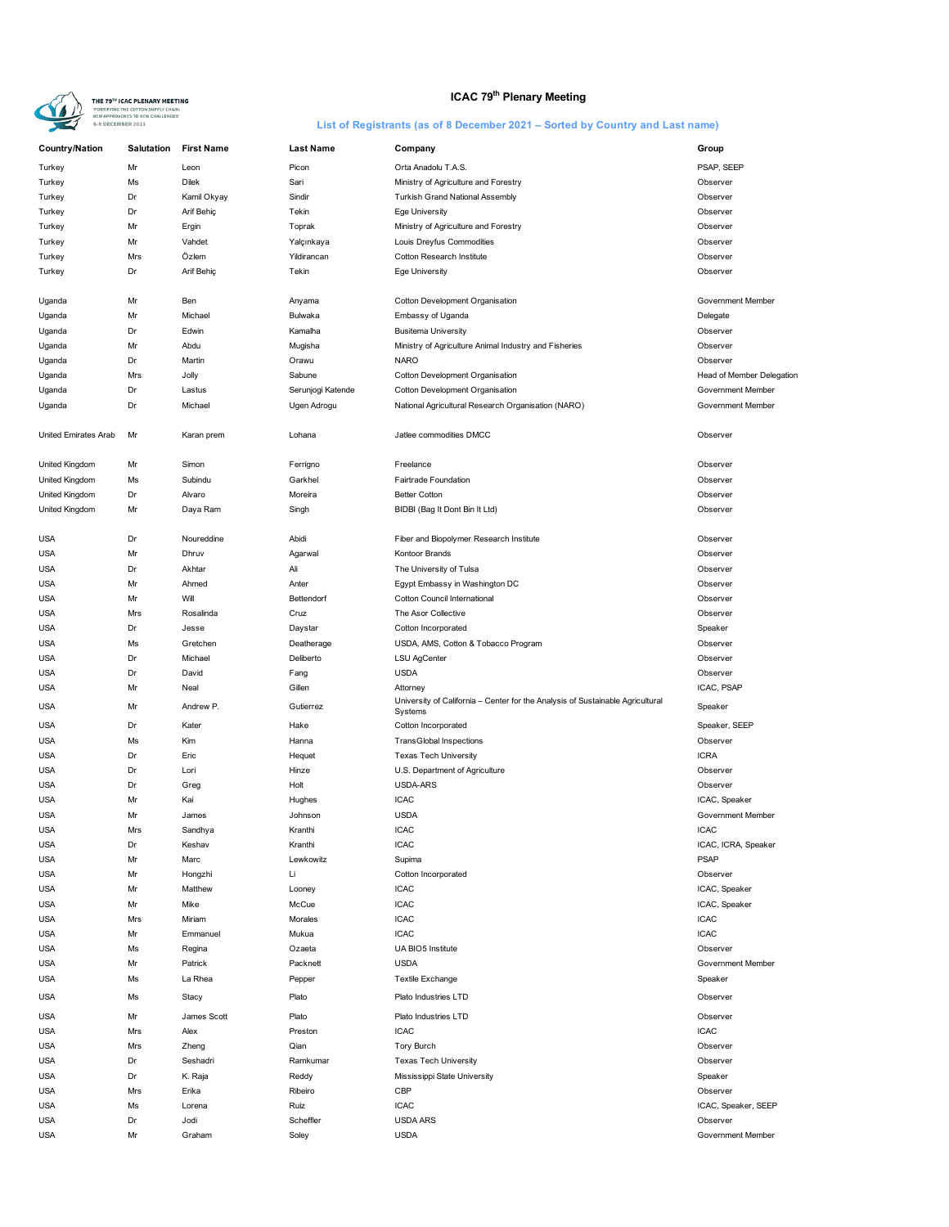

# **ICAC 79<sup>th</sup> Plenary Meeting**

| <b>Country/Nation</b> | <b>Salutation</b> | <b>First Name</b> | <b>Last Name</b>  | Company                                                                                   | Group                     |
|-----------------------|-------------------|-------------------|-------------------|-------------------------------------------------------------------------------------------|---------------------------|
| Turkey                | Mr                | Leon              | Picon             | Orta Anadolu T.A.S.                                                                       | PSAP, SEEP                |
| Turkey                | Ms                | <b>Dilek</b>      | Sari              | Ministry of Agriculture and Forestry                                                      | Observer                  |
| Turkey                | Dr                | Kamil Okyay       | Sindir            | Turkish Grand National Assembly                                                           | Observer                  |
| Turkey                | Dr                | Arif Behiç        | Tekin             | Ege University                                                                            | Observer                  |
| Turkey                | Mr                | Ergin             | Toprak            | Ministry of Agriculture and Forestry                                                      | Observer                  |
| Turkey                | Mr                | Vahdet            | Yalçınkaya        | Louis Dreyfus Commodities                                                                 | Observer                  |
| Turkey                | Mrs               | Özlem             | Yildirancan       | Cotton Research Institute                                                                 | Observer                  |
| Turkey                | Dr                | Arif Behiç        | Tekin             | Ege University                                                                            | Observer                  |
|                       |                   |                   |                   |                                                                                           |                           |
| Uganda                | Mr                | Ben               | Anyama            | Cotton Development Organisation                                                           | Government Member         |
| Uganda                | Mr                | Michael           | Bulwaka           | Embassy of Uganda                                                                         | Delegate                  |
| Uganda                | Dr                | Edwin             | Kamalha           | <b>Busitema University</b>                                                                | Observer                  |
| Uganda                | Mr                | Abdu              | Mugisha           | Ministry of Agriculture Animal Industry and Fisheries                                     | Observer                  |
| Uganda                | Dr                | Martin            | Orawu             | <b>NARO</b>                                                                               | Observer                  |
| Uganda                | Mrs               | Jolly             | Sabune            | Cotton Development Organisation                                                           | Head of Member Delegation |
| Uganda                | Dr                | Lastus            | Serunjogi Katende | Cotton Development Organisation                                                           | Government Member         |
| Uganda                | Dr                | Michael           | Ugen Adrogu       | National Agricultural Research Organisation (NARO)                                        | Government Member         |
|                       |                   |                   |                   |                                                                                           |                           |
| United Emirates Arab  | Mr                | Karan prem        | Lohana            | Jatlee commodities DMCC                                                                   | Observer                  |
| <b>United Kingdom</b> | Mr                | Simon             | Ferrigno          | Freelance                                                                                 | Observer                  |
| United Kingdom        | Ms                | Subindu           | Garkhel           | Fairtrade Foundation                                                                      | Observer                  |
| United Kingdom        | Dr                | Alvaro            | Moreira           | <b>Better Cotton</b>                                                                      | Observer                  |
| <b>United Kingdom</b> | Mr                | Daya Ram          | Singh             | BIDBI (Bag It Dont Bin It Ltd)                                                            | Observer                  |
|                       |                   |                   |                   |                                                                                           |                           |
| <b>USA</b>            | Dr                | Noureddine        | Abidi             | Fiber and Biopolymer Research Institute                                                   | Observer                  |
| <b>USA</b>            | Mr                | Dhruv             | Agarwal           | Kontoor Brands                                                                            | Observer                  |
| <b>USA</b>            | Dr                | Akhtar            | Ali               | The University of Tulsa                                                                   | Observer                  |
| <b>USA</b>            | Mr                | Ahmed             | Anter             | Egypt Embassy in Washington DC                                                            | Observer                  |
| <b>USA</b>            | Mr                | Will              | Bettendorf        | Cotton Council International                                                              | Observer                  |
| <b>USA</b>            | Mrs               | Rosalinda         | Cruz              | The Asor Collective                                                                       | Observer                  |
| <b>USA</b>            | Dr                | Jesse             | Daystar           | Cotton Incorporated                                                                       | Speaker                   |
| <b>USA</b>            | Ms                | Gretchen          | Deatherage        | USDA, AMS, Cotton & Tobacco Program                                                       | Observer                  |
| <b>USA</b>            | Dr                | Michael           | Deliberto         | <b>LSU AgCenter</b>                                                                       | Observer                  |
| <b>USA</b>            | Dr                | David             | Fang              | <b>USDA</b>                                                                               | Observer                  |
| <b>USA</b>            | Mr                | Neal              | Gillen            | Attorney                                                                                  | ICAC, PSAP                |
| <b>USA</b>            | Mr                | Andrew P.         | Gutierrez         | University of California - Center for the Analysis of Sustainable Agricultural<br>Systems | Speaker                   |
| <b>USA</b>            | Dr                | Kater             | Hake              | Cotton Incorporated                                                                       | Speaker, SEEP             |
| <b>USA</b>            | Ms                | Kim               | Hanna             | <b>TransGlobal Inspections</b>                                                            | Observer                  |
| <b>USA</b>            | Dr                | Eric              | Hequet            | <b>Texas Tech University</b>                                                              | <b>ICRA</b>               |
| <b>USA</b>            | Dr                | Lori              | Hinze             | U.S. Department of Agriculture                                                            | Observer                  |
| <b>USA</b>            | Dr                | Greg              | Holt              | USDA-ARS                                                                                  | Observer                  |
| <b>USA</b>            | Mr                | Kai               | Hughes            | <b>ICAC</b>                                                                               | ICAC, Speaker             |
| <b>USA</b>            | Mr                | James             | Johnson           | <b>USDA</b>                                                                               | Government Member         |
| <b>USA</b>            | Mrs               | Sandhya           | Kranthi           | <b>ICAC</b>                                                                               | <b>ICAC</b>               |
| <b>USA</b>            | Dr                | Keshav            | Kranthi           | <b>ICAC</b>                                                                               | ICAC, ICRA, Speaker       |
| <b>USA</b>            | Mr                | Marc              | Lewkowitz         | Supima                                                                                    | <b>PSAP</b>               |
| <b>USA</b>            | Mr                | Hongzhi           | Li                | Cotton Incorporated                                                                       | Observer                  |
| <b>USA</b>            | Mr                | Matthew           | Looney            | <b>ICAC</b>                                                                               | ICAC, Speaker             |
| <b>USA</b>            | Mr                | Mike              | McCue             | <b>ICAC</b>                                                                               | ICAC, Speaker             |
| <b>USA</b>            | Mrs               | Miriam            | Morales           | <b>ICAC</b>                                                                               | <b>ICAC</b>               |
| <b>USA</b>            | Mr                | Emmanuel          | Mukua             | <b>ICAC</b>                                                                               | <b>ICAC</b>               |
| <b>USA</b>            | Ms                | Regina            | Ozaeta            | UA BIO5 Institute                                                                         | Observer                  |
| <b>USA</b>            | Mr                | Patrick           | Packnett          | <b>USDA</b>                                                                               | Government Member         |
| <b>USA</b>            | Ms                | La Rhea           | Pepper            | <b>Textile Exchange</b>                                                                   | Speaker                   |
| <b>USA</b>            | Ms                |                   | Plato             | Plato Industries LTD                                                                      | Observer                  |
|                       |                   | Stacy             |                   |                                                                                           |                           |
| <b>USA</b>            | Mr                | James Scott       | Plato             | Plato Industries LTD                                                                      | Observer                  |
| <b>USA</b>            | Mrs               | Alex              | Preston           | <b>ICAC</b>                                                                               | <b>ICAC</b>               |
| <b>USA</b>            | Mrs               | Zheng             | Qian              | Tory Burch                                                                                | Observer                  |
| <b>USA</b>            | Dr                | Seshadri          | Ramkumar          | <b>Texas Tech University</b>                                                              | Observer                  |
| <b>USA</b>            | Dr                | K. Raja           | Reddy             | Mississippi State University                                                              | Speaker                   |
| <b>USA</b>            | Mrs               | Erika             | Ribeiro           | CBP                                                                                       | Observer                  |
| <b>USA</b>            | Ms                | Lorena            | Ruiz              | <b>ICAC</b>                                                                               | ICAC, Speaker, SEEP       |
| <b>USA</b>            | Dr                | Jodi              | Scheffler         | <b>USDA ARS</b>                                                                           | Observer                  |
| <b>USA</b>            | Mr                | Graham            | Soley             | <b>USDA</b>                                                                               | Government Member         |